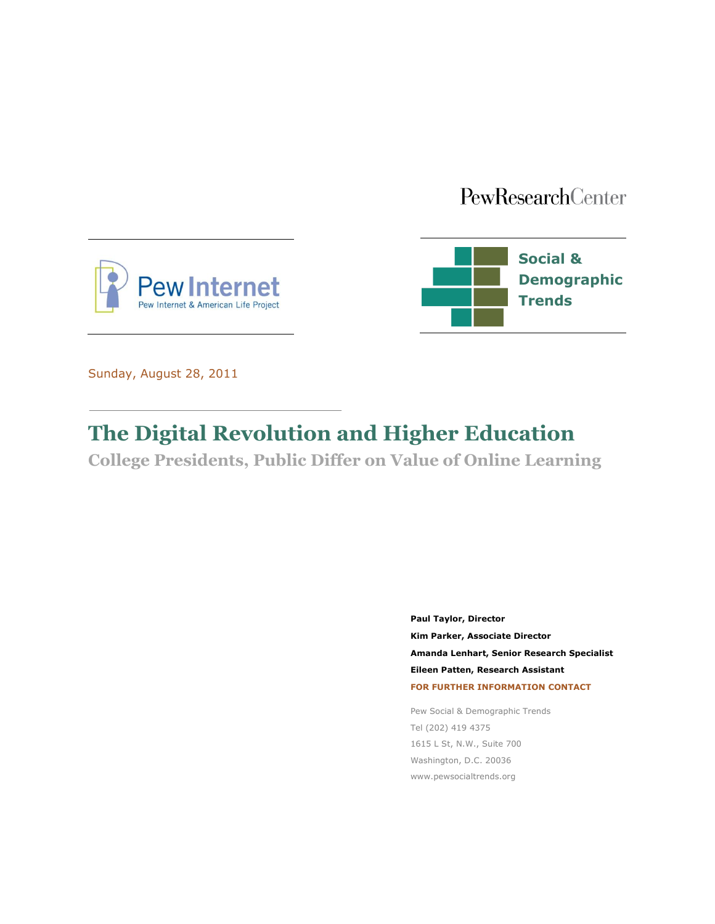# PewResearchCenter





Sunday, August 28, 2011

# **The Digital Revolution and Higher Education**

**College Presidents, Public Differ on Value of Online Learning**

**Paul Taylor, Director Kim Parker, Associate Director Amanda Lenhart, Senior Research Specialist Eileen Patten, Research Assistant FOR FURTHER INFORMATION CONTACT**

Pew Social & Demographic Trends Tel (202) 419 4375 1615 L St, N.W., Suite 700 Washington, D.C. 20036 www.pewsocialtrends.org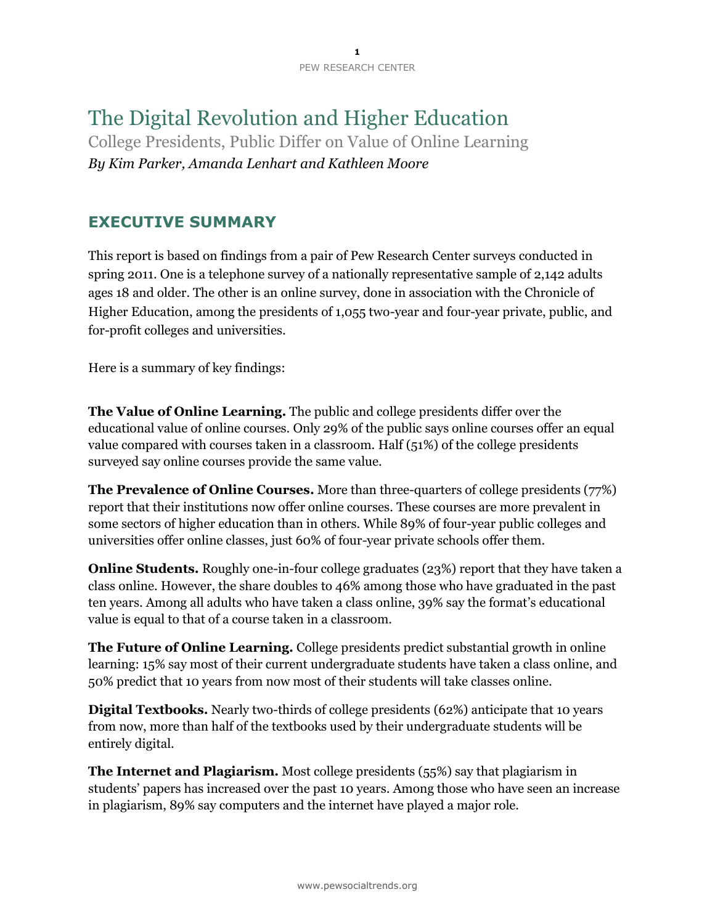# The Digital Revolution and Higher Education

College Presidents, Public Differ on Value of Online Learning *By Kim Parker, Amanda Lenhart and Kathleen Moore*

# **EXECUTIVE SUMMARY**

This report is based on findings from a pair of Pew Research Center surveys conducted in spring 2011. One is a telephone survey of a nationally representative sample of 2,142 adults ages 18 and older. The other is an online survey, done in association with the Chronicle of Higher Education, among the presidents of 1,055 two-year and four-year private, public, and for-profit colleges and universities.

Here is a summary of key findings:

**The Value of Online Learning.** The public and college presidents differ over the educational value of online courses. Only 29% of the public says online courses offer an equal value compared with courses taken in a classroom. Half (51%) of the college presidents surveyed say online courses provide the same value.

**The Prevalence of Online Courses.** More than three-quarters of college presidents (77%) report that their institutions now offer online courses. These courses are more prevalent in some sectors of higher education than in others. While 89% of four-year public colleges and universities offer online classes, just 60% of four-year private schools offer them.

**Online Students.** Roughly one-in-four college graduates (23%) report that they have taken a class online. However, the share doubles to 46% among those who have graduated in the past ten years. Among all adults who have taken a class online, 39% say the format's educational value is equal to that of a course taken in a classroom.

**The Future of Online Learning.** College presidents predict substantial growth in online learning: 15% say most of their current undergraduate students have taken a class online, and 50% predict that 10 years from now most of their students will take classes online.

**Digital Textbooks.** Nearly two-thirds of college presidents (62%) anticipate that 10 years from now, more than half of the textbooks used by their undergraduate students will be entirely digital.

**The Internet and Plagiarism.** Most college presidents (55%) say that plagiarism in students' papers has increased over the past 10 years. Among those who have seen an increase in plagiarism, 89% say computers and the internet have played a major role.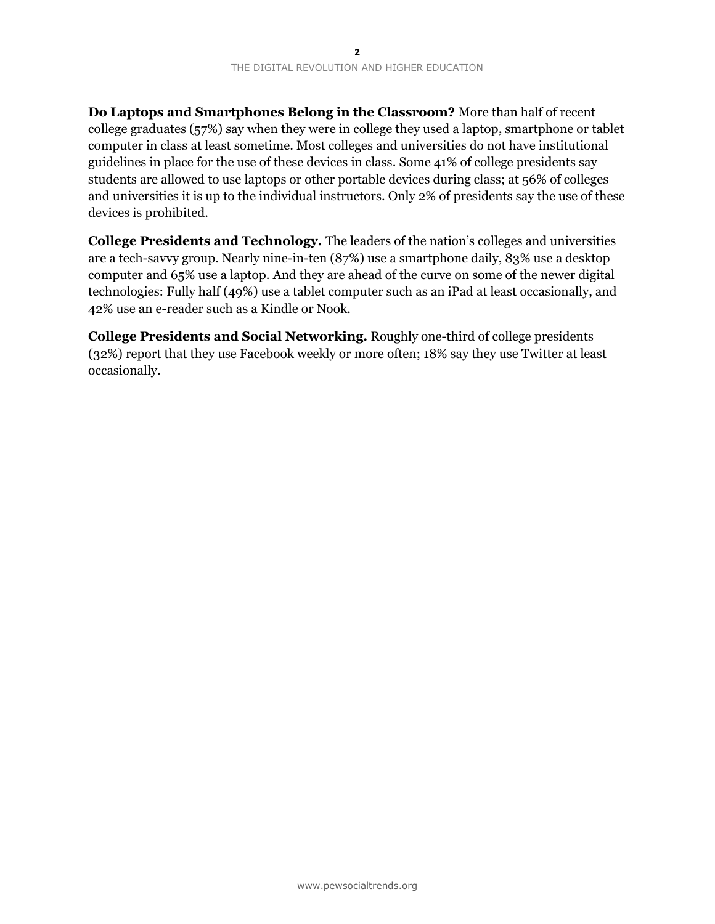**Do Laptops and Smartphones Belong in the Classroom?** More than half of recent college graduates (57%) say when they were in college they used a laptop, smartphone or tablet computer in class at least sometime. Most colleges and universities do not have institutional guidelines in place for the use of these devices in class. Some 41% of college presidents say students are allowed to use laptops or other portable devices during class; at 56% of colleges and universities it is up to the individual instructors. Only 2% of presidents say the use of these devices is prohibited.

**College Presidents and Technology.** The leaders of the nation's colleges and universities are a tech-savvy group. Nearly nine-in-ten (87%) use a smartphone daily, 83% use a desktop computer and 65% use a laptop. And they are ahead of the curve on some of the newer digital technologies: Fully half (49%) use a tablet computer such as an iPad at least occasionally, and 42% use an e-reader such as a Kindle or Nook.

**College Presidents and Social Networking.** Roughly one-third of college presidents (32%) report that they use Facebook weekly or more often; 18% say they use Twitter at least occasionally.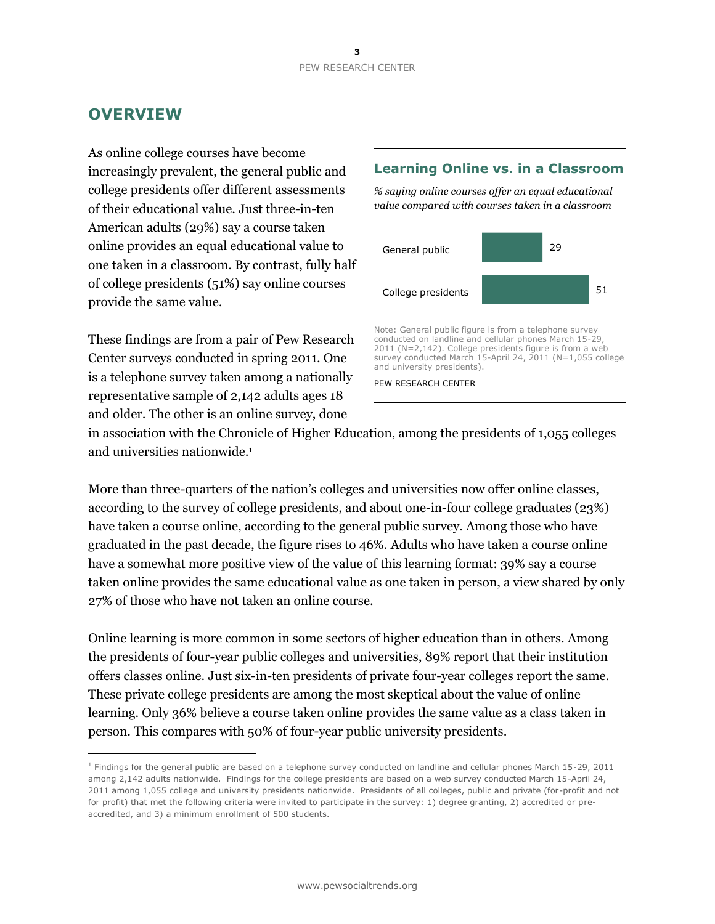# **OVERVIEW**

 $\overline{a}$ 

As online college courses have become increasingly prevalent, the general public and college presidents offer different assessments of their educational value. Just three-in-ten American adults (29%) say a course taken online provides an equal educational value to one taken in a classroom. By contrast, fully half of college presidents (51%) say online courses provide the same value.

These findings are from a pair of Pew Research Center surveys conducted in spring 2011. One is a telephone survey taken among a nationally representative sample of 2,142 adults ages 18 and older. The other is an online survey, done

### **Learning Online vs. in a Classroom**

*% saying online courses offer an equal educational value compared with courses taken in a classroom*



Note: General public figure is from a telephone survey conducted on landline and cellular phones March 15-29, 2011 (N=2,142). College presidents figure is from a web survey conducted March 15-April 24, 2011 (N=1,055 college and university presidents).

PEW RESEARCH CENTER

in association with the Chronicle of Higher Education, among the presidents of 1,055 colleges and universities nationwide.<sup>1</sup>

More than three-quarters of the nation's colleges and universities now offer online classes, according to the survey of college presidents, and about one-in-four college graduates (23%) have taken a course online, according to the general public survey. Among those who have graduated in the past decade, the figure rises to 46%. Adults who have taken a course online have a somewhat more positive view of the value of this learning format: 39% say a course taken online provides the same educational value as one taken in person, a view shared by only 27% of those who have not taken an online course.

Online learning is more common in some sectors of higher education than in others. Among the presidents of four-year public colleges and universities, 89% report that their institution offers classes online. Just six-in-ten presidents of private four-year colleges report the same. These private college presidents are among the most skeptical about the value of online learning. Only 36% believe a course taken online provides the same value as a class taken in person. This compares with 50% of four-year public university presidents.

 $1$  Findings for the general public are based on a telephone survey conducted on landline and cellular phones March 15-29, 2011 among 2,142 adults nationwide. Findings for the college presidents are based on a web survey conducted March 15-April 24, 2011 among 1,055 college and university presidents nationwide. Presidents of all colleges, public and private (for-profit and not for profit) that met the following criteria were invited to participate in the survey: 1) degree granting, 2) accredited or preaccredited, and 3) a minimum enrollment of 500 students.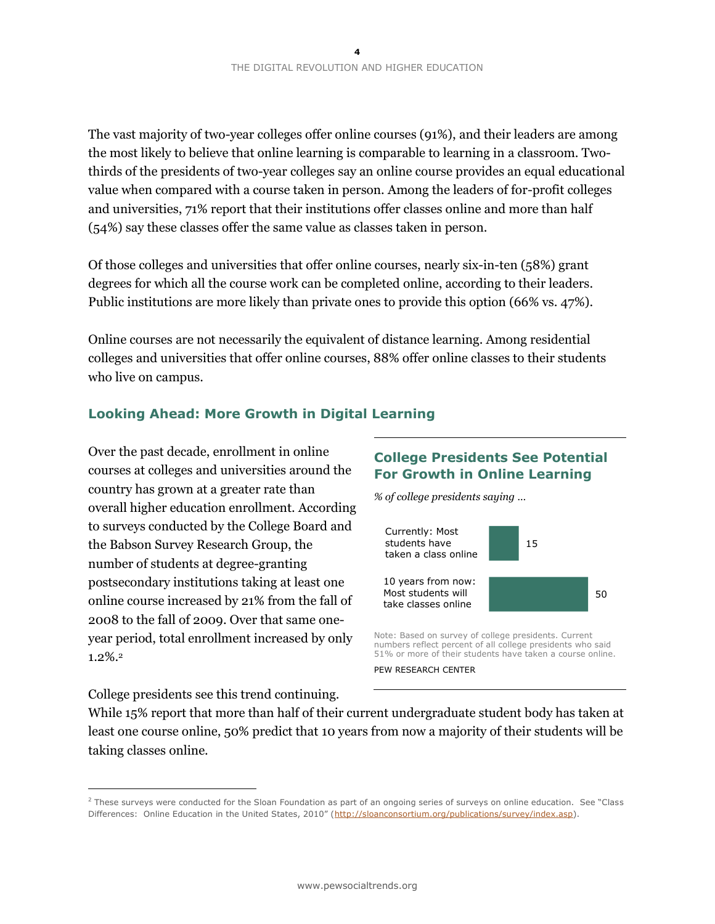The vast majority of two-year colleges offer online courses (91%), and their leaders are among the most likely to believe that online learning is comparable to learning in a classroom. Twothirds of the presidents of two-year colleges say an online course provides an equal educational value when compared with a course taken in person. Among the leaders of for-profit colleges and universities, 71% report that their institutions offer classes online and more than half (54%) say these classes offer the same value as classes taken in person.

Of those colleges and universities that offer online courses, nearly six-in-ten (58%) grant degrees for which all the course work can be completed online, according to their leaders. Public institutions are more likely than private ones to provide this option (66% vs. 47%).

Online courses are not necessarily the equivalent of distance learning. Among residential colleges and universities that offer online courses, 88% offer online classes to their students who live on campus.

### **Looking Ahead: More Growth in Digital Learning**

Over the past decade, enrollment in online courses at colleges and universities around the country has grown at a greater rate than overall higher education enrollment. According to surveys conducted by the College Board and the Babson Survey Research Group, the number of students at degree-granting postsecondary institutions taking at least one online course increased by 21% from the fall of 2008 to the fall of 2009. Over that same oneyear period, total enrollment increased by only 1.2%.<sup>2</sup>

### **College Presidents See Potential For Growth in Online Learning**

*% of college presidents saying …*



numbers reflect percent of all college presidents who said 51% or more of their students have taken a course online.

PEW RESEARCH CENTER

College presidents see this trend continuing.

 $\overline{a}$ 

While 15% report that more than half of their current undergraduate student body has taken at least one course online, 50% predict that 10 years from now a majority of their students will be taking classes online.

 $2$  These surveys were conducted for the Sloan Foundation as part of an ongoing series of surveys on online education. See "Class Differences: Online Education in the United States, 2010" ([http://sloanconsortium.org/publications/survey/index.asp\)](http://sloanconsortium.org/publications/survey/index.asp).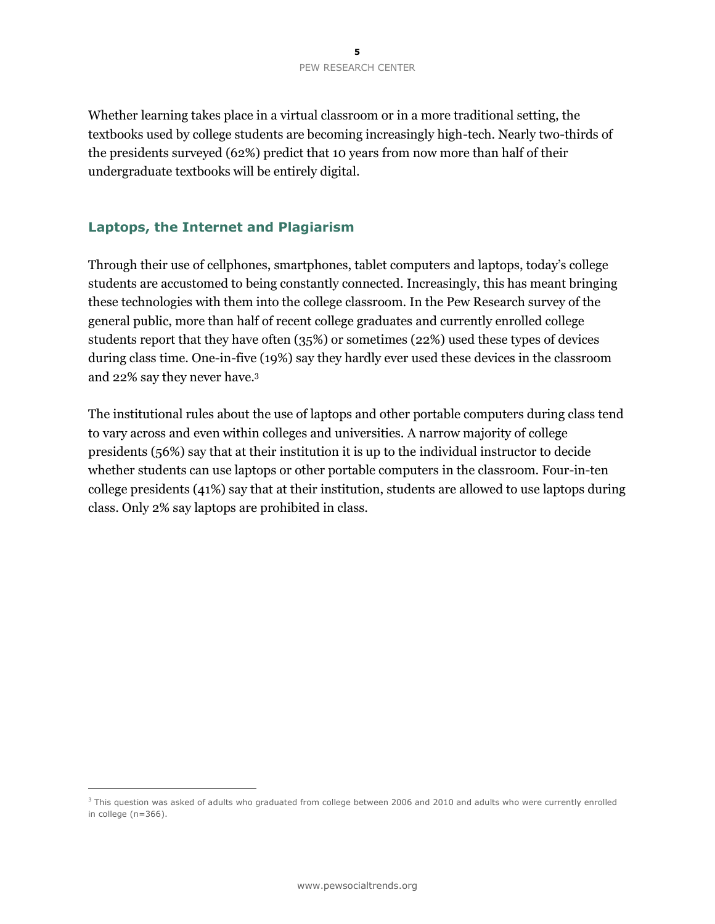Whether learning takes place in a virtual classroom or in a more traditional setting, the textbooks used by college students are becoming increasingly high-tech. Nearly two-thirds of the presidents surveyed (62%) predict that 10 years from now more than half of their undergraduate textbooks will be entirely digital.

### **Laptops, the Internet and Plagiarism**

 $\overline{a}$ 

Through their use of cellphones, smartphones, tablet computers and laptops, today's college students are accustomed to being constantly connected. Increasingly, this has meant bringing these technologies with them into the college classroom. In the Pew Research survey of the general public, more than half of recent college graduates and currently enrolled college students report that they have often (35%) or sometimes (22%) used these types of devices during class time. One-in-five (19%) say they hardly ever used these devices in the classroom and 22% say they never have. 3

The institutional rules about the use of laptops and other portable computers during class tend to vary across and even within colleges and universities. A narrow majority of college presidents (56%) say that at their institution it is up to the individual instructor to decide whether students can use laptops or other portable computers in the classroom. Four-in-ten college presidents (41%) say that at their institution, students are allowed to use laptops during class. Only 2% say laptops are prohibited in class.

<sup>&</sup>lt;sup>3</sup> This question was asked of adults who graduated from college between 2006 and 2010 and adults who were currently enrolled in college (n=366).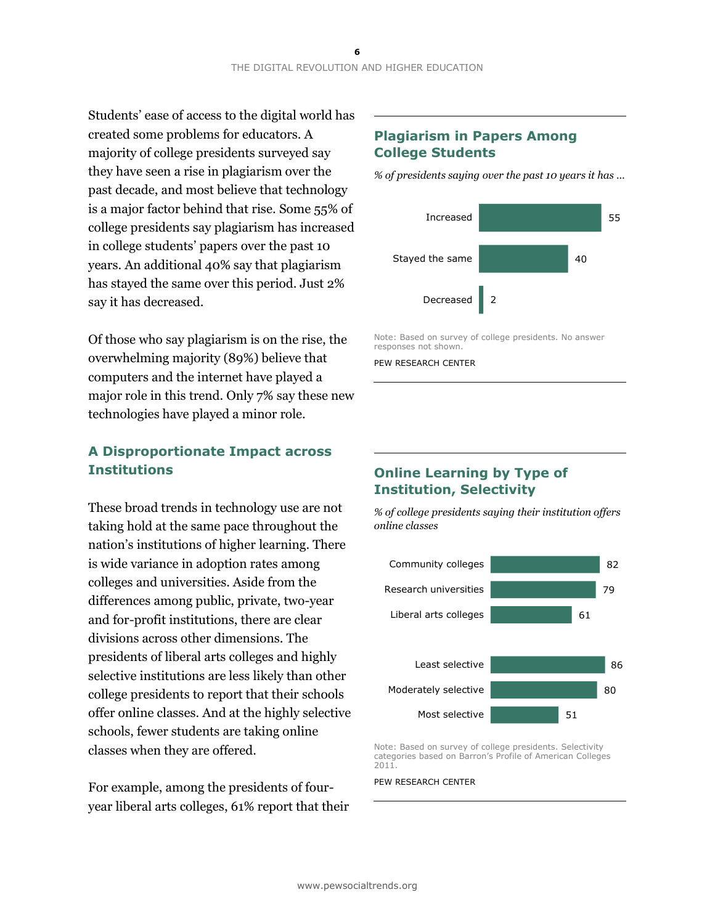Students' ease of access to the digital world has created some problems for educators. A majority of college presidents surveyed say they have seen a rise in plagiarism over the past decade, and most believe that technology is a major factor behind that rise. Some 55% of college presidents say plagiarism has increased in college students' papers over the past 10 years. An additional 40% say that plagiarism has stayed the same over this period. Just 2% say it has decreased.

Of those who say plagiarism is on the rise, the overwhelming majority (89%) believe that computers and the internet have played a major role in this trend. Only 7% say these new technologies have played a minor role.

## **A Disproportionate Impact across Institutions**

These broad trends in technology use are not taking hold at the same pace throughout the nation's institutions of higher learning. There is wide variance in adoption rates among colleges and universities. Aside from the differences among public, private, two-year and for-profit institutions, there are clear divisions across other dimensions. The presidents of liberal arts colleges and highly selective institutions are less likely than other college presidents to report that their schools offer online classes. And at the highly selective schools, fewer students are taking online classes when they are offered.

For example, among the presidents of fouryear liberal arts colleges, 61% report that their

### **Plagiarism in Papers Among College Students**

*% of presidents saying over the past 10 years it has …* 



Note: Based on survey of college presidents. No answer responses not shown.

PEW RESEARCH CENTER

### **Online Learning by Type of Institution, Selectivity**

*% of college presidents saying their institution offers online classes* 



Note: Based on survey of college presidents. Selectivity categories based on Barron's Profile of American Colleges 2011.

#### PEW RESEARCH CENTER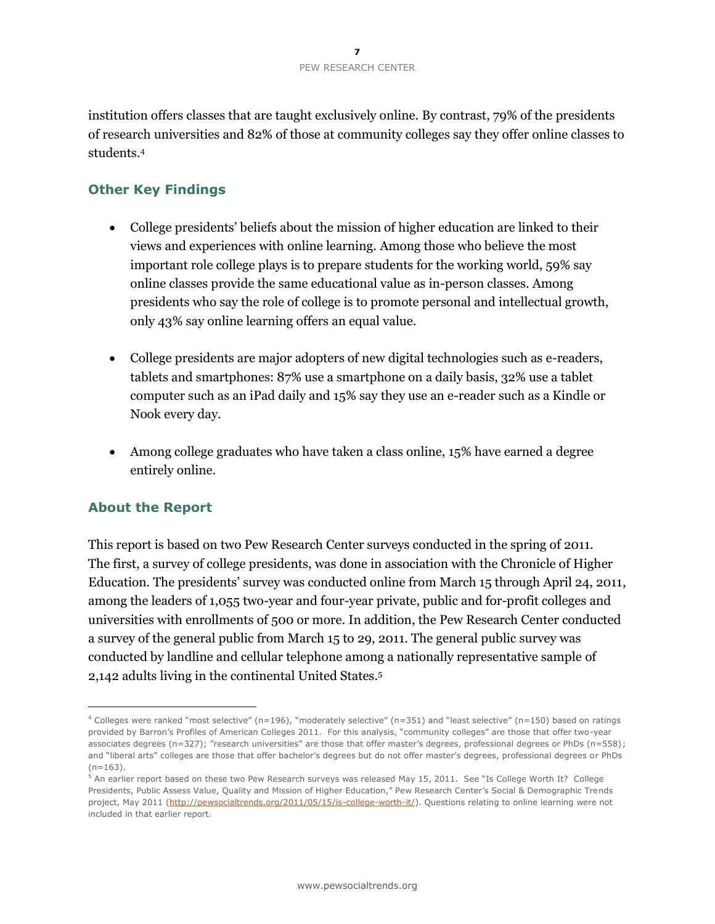institution offers classes that are taught exclusively online. By contrast, 79% of the presidents of research universities and 82% of those at community colleges say they offer online classes to students.<sup>4</sup>

### **Other Key Findings**

- College presidents' beliefs about the mission of higher education are linked to their views and experiences with online learning. Among those who believe the most important role college plays is to prepare students for the working world, 59% say online classes provide the same educational value as in-person classes. Among presidents who say the role of college is to promote personal and intellectual growth, only 43% say online learning offers an equal value.
- College presidents are major adopters of new digital technologies such as e-readers, tablets and smartphones: 87% use a smartphone on a daily basis, 32% use a tablet computer such as an iPad daily and 15% say they use an e-reader such as a Kindle or Nook every day.
- Among college graduates who have taken a class online, 15% have earned a degree entirely online.

### **About the Report**

 $\overline{a}$ 

This report is based on two Pew Research Center surveys conducted in the spring of 2011. The first, a survey of college presidents, was done in association with the Chronicle of Higher Education. The presidents' survey was conducted online from March 15 through April 24, 2011, among the leaders of 1,055 two-year and four-year private, public and for-profit colleges and universities with enrollments of 500 or more. In addition, the Pew Research Center conducted a survey of the general public from March 15 to 29, 2011. The general public survey was conducted by landline and cellular telephone among a nationally representative sample of 2,142 adults living in the continental United States.<sup>5</sup>

 $4$  Colleges were ranked "most selective" (n=196), "moderately selective" (n=351) and "least selective" (n=150) based on ratings provided by Barron's Profiles of American Colleges 2011. For this analysis, "community colleges" are those that offer two-year associates degrees (n=327); "research universities" are those that offer master's degrees, professional degrees or PhDs (n=558); and "liberal arts" colleges are those that offer bachelor's degrees but do not offer master's degrees, professional degrees or PhDs  $(n=163)$ .

<sup>5</sup> An earlier report based on these two Pew Research surveys was released May 15, 2011. See "Is College Worth It? College Presidents, Public Assess Value, Quality and Mission of Higher Education," Pew Research Center's Social & Demographic Trends project, May 2011 [\(http://pewsocialtrends.org/2011/05/15/is-college-worth-it/\)](http://pewsocialtrends.org/2011/05/15/is-college-worth-it/). Questions relating to online learning were not included in that earlier report.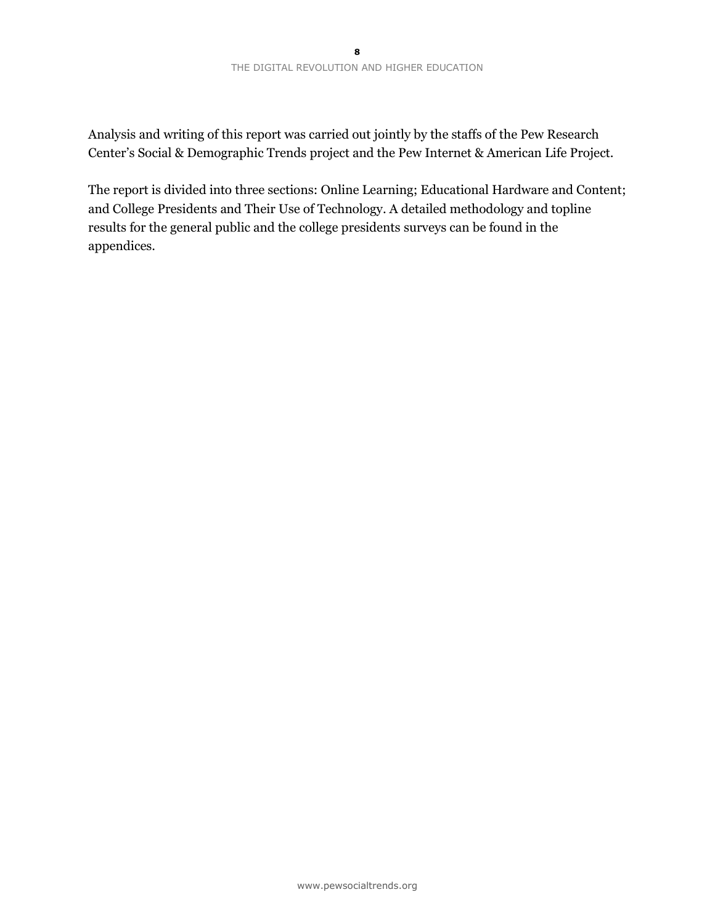Analysis and writing of this report was carried out jointly by the staffs of the Pew Research Center's Social & Demographic Trends project and the Pew Internet & American Life Project.

The report is divided into three sections: Online Learning; Educational Hardware and Content; and College Presidents and Their Use of Technology. A detailed methodology and topline results for the general public and the college presidents surveys can be found in the appendices.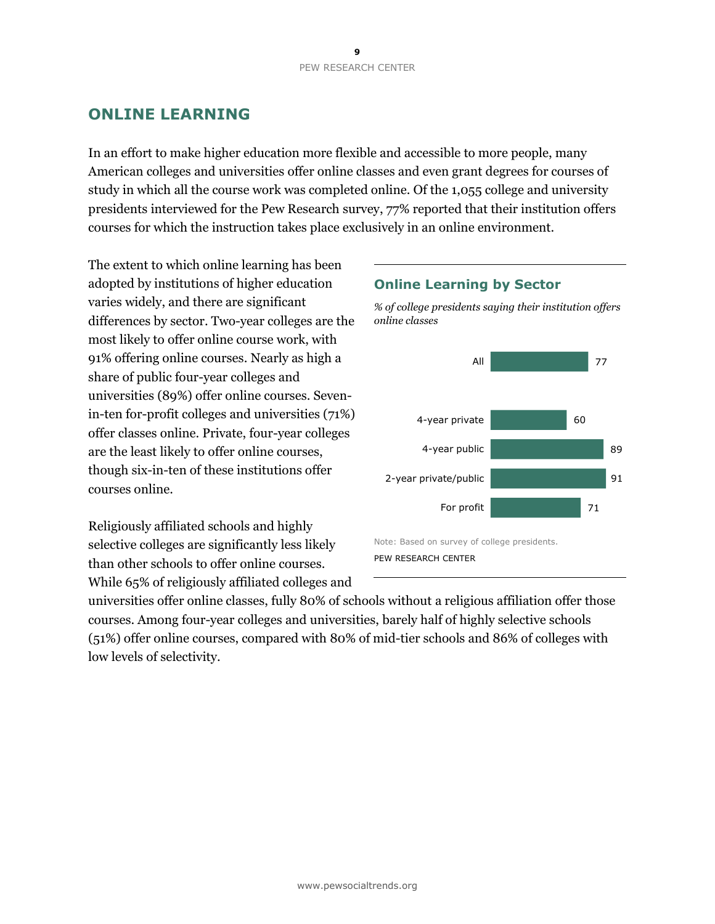# **ONLINE LEARNING**

In an effort to make higher education more flexible and accessible to more people, many American colleges and universities offer online classes and even grant degrees for courses of study in which all the course work was completed online. Of the 1,055 college and university presidents interviewed for the Pew Research survey, 77% reported that their institution offers courses for which the instruction takes place exclusively in an online environment.

The extent to which online learning has been adopted by institutions of higher education varies widely, and there are significant differences by sector. Two-year colleges are the most likely to offer online course work, with 91% offering online courses. Nearly as high a share of public four-year colleges and universities (89%) offer online courses. Sevenin-ten for-profit colleges and universities (71%) offer classes online. Private, four-year colleges are the least likely to offer online courses, though six-in-ten of these institutions offer courses online.

Religiously affiliated schools and highly selective colleges are significantly less likely than other schools to offer online courses. While 65% of religiously affiliated colleges and

### **Online Learning by Sector**

*% of college presidents saying their institution offers online classes* 



Note: Based on survey of college presidents. PEW RESEARCH CENTER

universities offer online classes, fully 80% of schools without a religious affiliation offer those courses. Among four-year colleges and universities, barely half of highly selective schools (51%) offer online courses, compared with 80% of mid-tier schools and 86% of colleges with low levels of selectivity.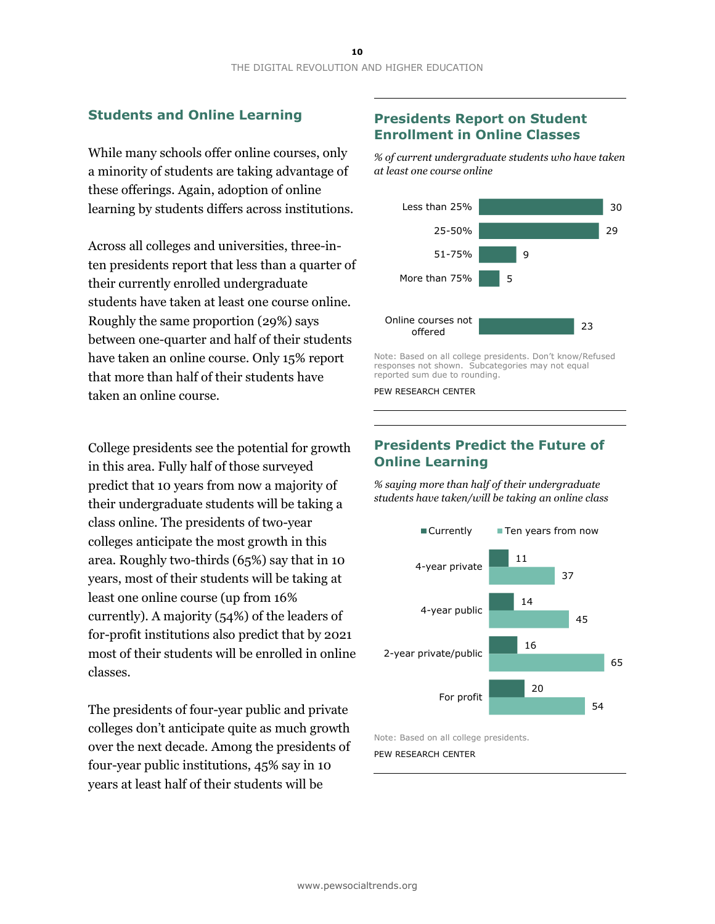### **Students and Online Learning**

While many schools offer online courses, only a minority of students are taking advantage of these offerings. Again, adoption of online learning by students differs across institutions.

Across all colleges and universities, three-inten presidents report that less than a quarter of their currently enrolled undergraduate students have taken at least one course online. Roughly the same proportion (29%) says between one-quarter and half of their students have taken an online course. Only 15% report that more than half of their students have taken an online course.

College presidents see the potential for growth in this area. Fully half of those surveyed predict that 10 years from now a majority of their undergraduate students will be taking a class online. The presidents of two-year colleges anticipate the most growth in this area. Roughly two-thirds (65%) say that in 10 years, most of their students will be taking at least one online course (up from 16% currently). A majority (54%) of the leaders of for-profit institutions also predict that by 2021 most of their students will be enrolled in online classes.

The presidents of four-year public and private colleges don't anticipate quite as much growth over the next decade. Among the presidents of four-year public institutions, 45% say in 10 years at least half of their students will be

### **Presidents Report on Student Enrollment in Online Classes**

*% of current undergraduate students who have taken at least one course online*



Note: Based on all college presidents. Don't know/Refused responses not shown. Subcategories may not equal reported sum due to rounding.

PEW RESEARCH CENTER

### **Presidents Predict the Future of Online Learning**

*% saying more than half of their undergraduate students have taken/will be taking an online class* 



Note: Based on all college presidents. PEW RESEARCH CENTER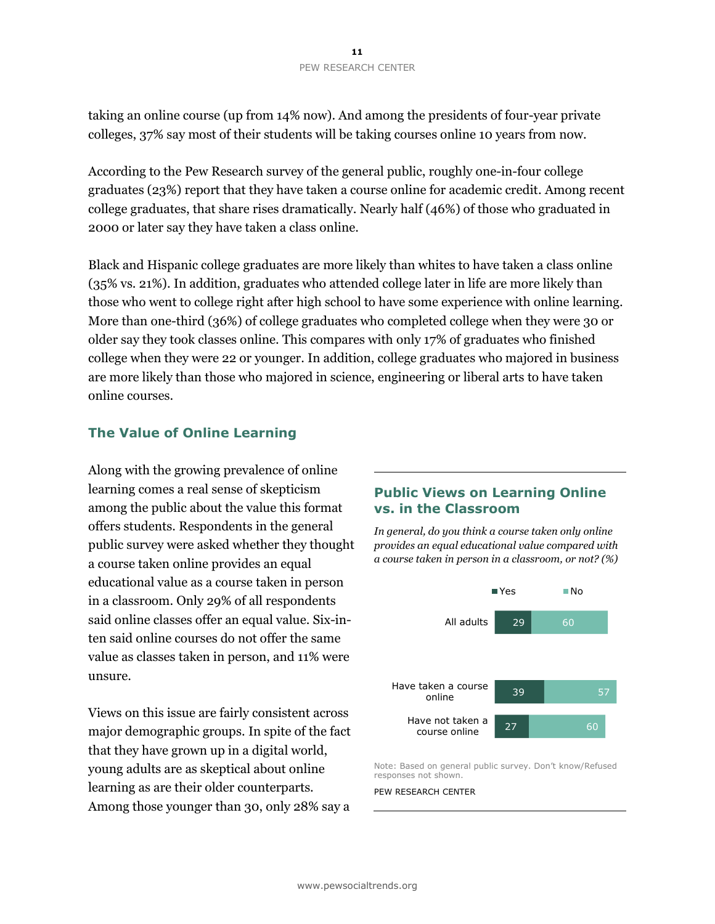taking an online course (up from 14% now). And among the presidents of four-year private colleges, 37% say most of their students will be taking courses online 10 years from now.

According to the Pew Research survey of the general public, roughly one-in-four college graduates (23%) report that they have taken a course online for academic credit. Among recent college graduates, that share rises dramatically. Nearly half (46%) of those who graduated in 2000 or later say they have taken a class online.

Black and Hispanic college graduates are more likely than whites to have taken a class online (35% vs. 21%). In addition, graduates who attended college later in life are more likely than those who went to college right after high school to have some experience with online learning. More than one-third (36%) of college graduates who completed college when they were 30 or older say they took classes online. This compares with only 17% of graduates who finished college when they were 22 or younger. In addition, college graduates who majored in business are more likely than those who majored in science, engineering or liberal arts to have taken online courses.

### **The Value of Online Learning**

Along with the growing prevalence of online learning comes a real sense of skepticism among the public about the value this format offers students. Respondents in the general public survey were asked whether they thought a course taken online provides an equal educational value as a course taken in person in a classroom. Only 29% of all respondents said online classes offer an equal value. Six-inten said online courses do not offer the same value as classes taken in person, and 11% were unsure.

Views on this issue are fairly consistent across major demographic groups. In spite of the fact that they have grown up in a digital world, young adults are as skeptical about online learning as are their older counterparts. Among those younger than 30, only 28% say a

### **Public Views on Learning Online vs. in the Classroom**

*In general, do you think a course taken only online provides an equal educational value compared with a course taken in person in a classroom, or not? (%)* 



Note: Based on general public survey. Don't know/Refused responses not shown.

#### PEW RESEARCH CENTER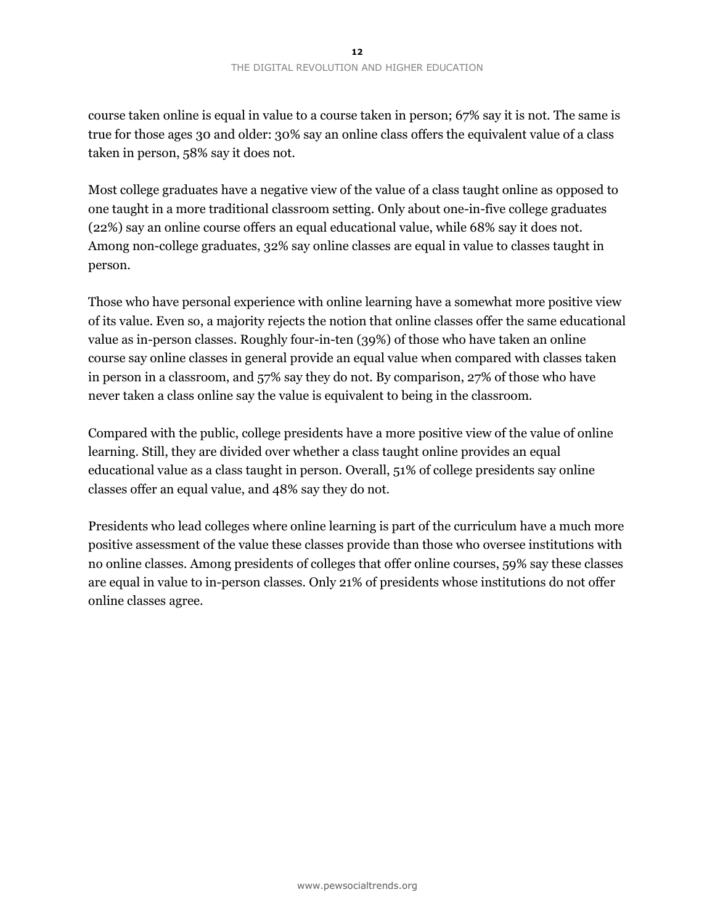course taken online is equal in value to a course taken in person; 67% say it is not. The same is true for those ages 30 and older: 30% say an online class offers the equivalent value of a class taken in person, 58% say it does not.

Most college graduates have a negative view of the value of a class taught online as opposed to one taught in a more traditional classroom setting. Only about one-in-five college graduates (22%) say an online course offers an equal educational value, while 68% say it does not. Among non-college graduates, 32% say online classes are equal in value to classes taught in person.

Those who have personal experience with online learning have a somewhat more positive view of its value. Even so, a majority rejects the notion that online classes offer the same educational value as in-person classes. Roughly four-in-ten (39%) of those who have taken an online course say online classes in general provide an equal value when compared with classes taken in person in a classroom, and 57% say they do not. By comparison, 27% of those who have never taken a class online say the value is equivalent to being in the classroom.

Compared with the public, college presidents have a more positive view of the value of online learning. Still, they are divided over whether a class taught online provides an equal educational value as a class taught in person. Overall, 51% of college presidents say online classes offer an equal value, and 48% say they do not.

Presidents who lead colleges where online learning is part of the curriculum have a much more positive assessment of the value these classes provide than those who oversee institutions with no online classes. Among presidents of colleges that offer online courses, 59% say these classes are equal in value to in-person classes. Only 21% of presidents whose institutions do not offer online classes agree.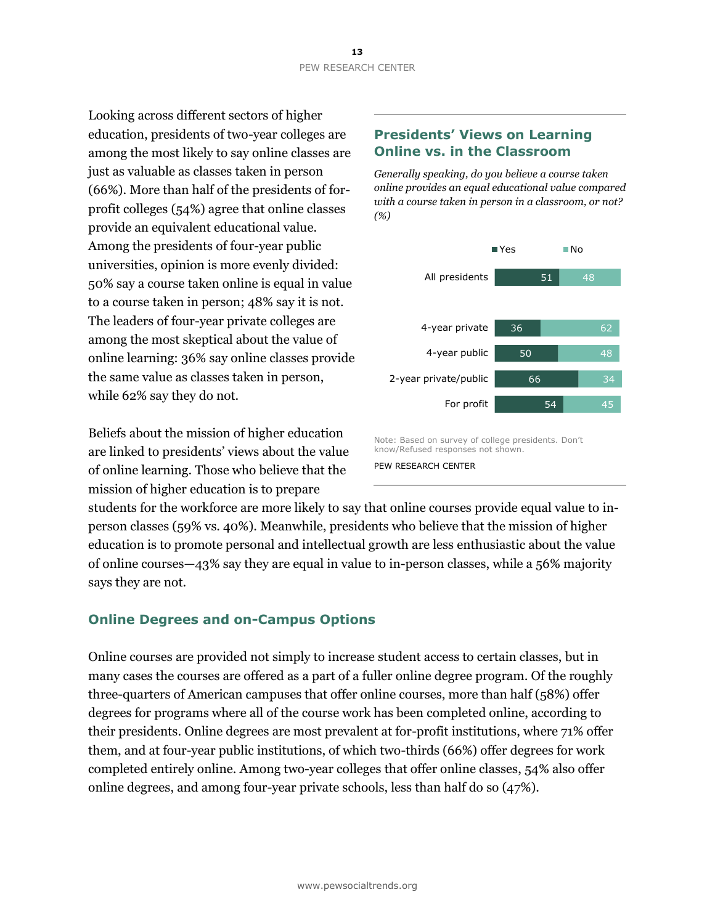Looking across different sectors of higher education, presidents of two-year colleges are among the most likely to say online classes are just as valuable as classes taken in person (66%). More than half of the presidents of forprofit colleges (54%) agree that online classes provide an equivalent educational value. Among the presidents of four-year public universities, opinion is more evenly divided: 50% say a course taken online is equal in value to a course taken in person; 48% say it is not. The leaders of four-year private colleges are among the most skeptical about the value of online learning: 36% say online classes provide the same value as classes taken in person, while 62% say they do not.

Beliefs about the mission of higher education are linked to presidents' views about the value of online learning. Those who believe that the mission of higher education is to prepare

### **Presidents' Views on Learning Online vs. in the Classroom**

*Generally speaking, do you believe a course taken online provides an equal educational value compared with a course taken in person in a classroom, or not? (%)* 



Note: Based on survey of college presidents. Don't know/Refused responses not shown. PEW RESEARCH CENTER

students for the workforce are more likely to say that online courses provide equal value to inperson classes (59% vs. 40%). Meanwhile, presidents who believe that the mission of higher education is to promote personal and intellectual growth are less enthusiastic about the value of online courses—43% say they are equal in value to in-person classes, while a 56% majority says they are not.

### **Online Degrees and on-Campus Options**

Online courses are provided not simply to increase student access to certain classes, but in many cases the courses are offered as a part of a fuller online degree program. Of the roughly three-quarters of American campuses that offer online courses, more than half (58%) offer degrees for programs where all of the course work has been completed online, according to their presidents. Online degrees are most prevalent at for-profit institutions, where 71% offer them, and at four-year public institutions, of which two-thirds (66%) offer degrees for work completed entirely online. Among two-year colleges that offer online classes, 54% also offer online degrees, and among four-year private schools, less than half do so (47%).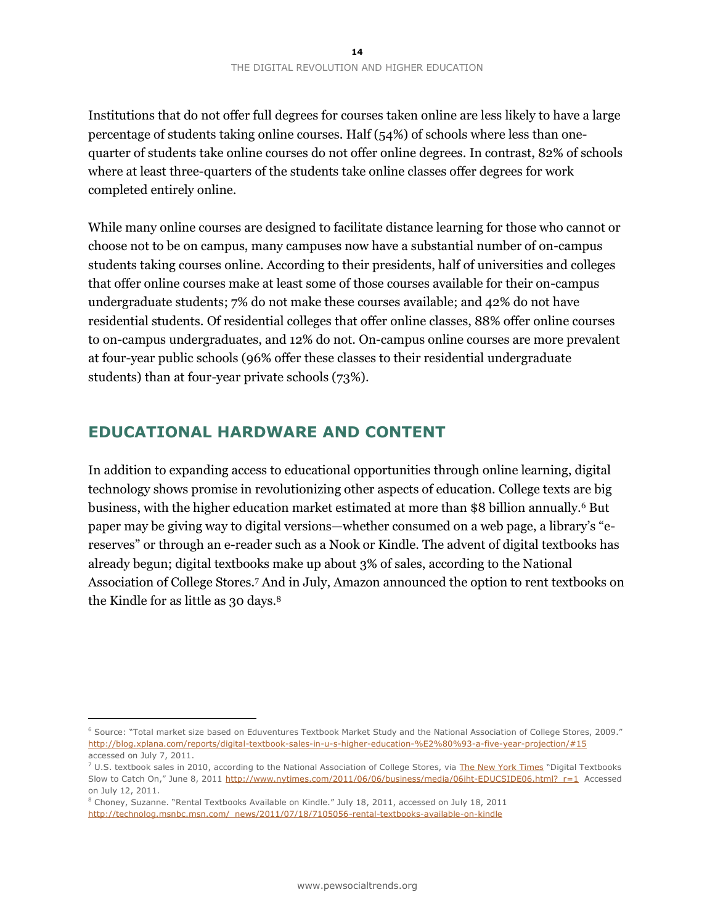Institutions that do not offer full degrees for courses taken online are less likely to have a large percentage of students taking online courses. Half (54%) of schools where less than onequarter of students take online courses do not offer online degrees. In contrast, 82% of schools where at least three-quarters of the students take online classes offer degrees for work completed entirely online.

While many online courses are designed to facilitate distance learning for those who cannot or choose not to be on campus, many campuses now have a substantial number of on-campus students taking courses online. According to their presidents, half of universities and colleges that offer online courses make at least some of those courses available for their on-campus undergraduate students; 7% do not make these courses available; and 42% do not have residential students. Of residential colleges that offer online classes, 88% offer online courses to on-campus undergraduates, and 12% do not. On-campus online courses are more prevalent at four-year public schools (96% offer these classes to their residential undergraduate students) than at four-year private schools (73%).

## **EDUCATIONAL HARDWARE AND CONTENT**

In addition to expanding access to educational opportunities through online learning, digital technology shows promise in revolutionizing other aspects of education. College texts are big business, with the higher education market estimated at more than \$8 billion annually.<sup>6</sup> But paper may be giving way to digital versions—whether consumed on a web page, a library's "ereserves" or through an e-reader such as a Nook or Kindle. The advent of digital textbooks has already begun; digital textbooks make up about 3% of sales, according to the National Association of College Stores.<sup>7</sup> And in July, Amazon announced the option to rent textbooks on the Kindle for as little as 30 days.<sup>8</sup>

 $\overline{a}$ 

<sup>6</sup> Source: "Total market size based on Eduventures Textbook Market Study and the National Association of College Stores, 2009." <http://blog.xplana.com/reports/digital-textbook-sales-in-u-s-higher-education-%E2%80%93-a-five-year-projection/#15> accessed on July 7, 2011.

 $7$  U.S. textbook sales in 2010, according to the National Association of College Stores, via [The New York Times](http://www.nytimes.com/2011/06/06/business/media/06iht-EDUCSIDE06.html) "Digital Textbooks Slow to Catch On," June 8, 2011 [http://www.nytimes.com/2011/06/06/business/media/06iht-EDUCSIDE06.html?\\_r=1](http://www.nytimes.com/2011/06/06/business/media/06iht-EDUCSIDE06.html?_r=1) Accessed on July 12, 2011.

<sup>8</sup> Choney, Suzanne. "Rental Textbooks Available on Kindle." July 18, 2011, accessed on July 18, 2011 [http://technolog.msnbc.msn.com/\\_news/2011/07/18/7105056-rental-textbooks-available-on-kindle](http://technolog.msnbc.msn.com/_news/2011/07/18/7105056-rental-textbooks-available-on-kindle)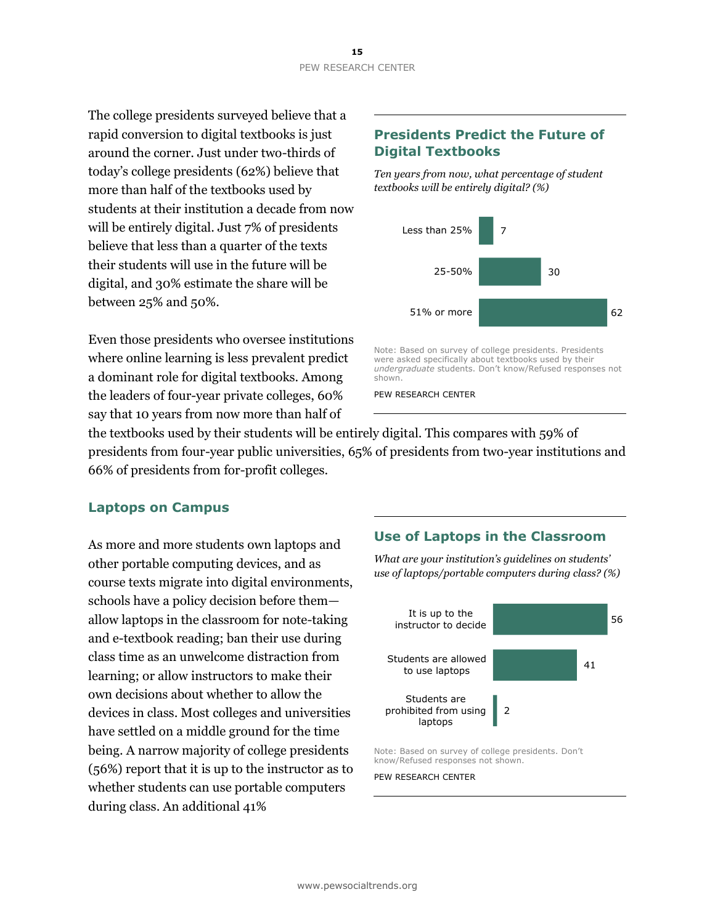The college presidents surveyed believe that a rapid conversion to digital textbooks is just around the corner. Just under two-thirds of today's college presidents (62%) believe that more than half of the textbooks used by students at their institution a decade from now will be entirely digital. Just 7% of presidents believe that less than a quarter of the texts their students will use in the future will be digital, and 30% estimate the share will be between 25% and 50%.

Even those presidents who oversee institutions where online learning is less prevalent predict a dominant role for digital textbooks. Among the leaders of four-year private colleges, 60% say that 10 years from now more than half of

### **Presidents Predict the Future of Digital Textbooks**

*Ten years from now, what percentage of student textbooks will be entirely digital? (%)* 



Note: Based on survey of college presidents. Presidents were asked specifically about textbooks used by their *undergraduate* students. Don't know/Refused responses not shown.

PEW RESEARCH CENTER

the textbooks used by their students will be entirely digital. This compares with 59% of presidents from four-year public universities, 65% of presidents from two-year institutions and 66% of presidents from for-profit colleges.

### **Laptops on Campus**

As more and more students own laptops and other portable computing devices, and as course texts migrate into digital environments, schools have a policy decision before them allow laptops in the classroom for note-taking and e-textbook reading; ban their use during class time as an unwelcome distraction from learning; or allow instructors to make their own decisions about whether to allow the devices in class. Most colleges and universities have settled on a middle ground for the time being. A narrow majority of college presidents (56%) report that it is up to the instructor as to whether students can use portable computers during class. An additional 41%

### **Use of Laptops in the Classroom**

*What are your institution's guidelines on students' use of laptops/portable computers during class? (%)* 



Note: Based on survey of college presidents. Don't know/Refused responses not shown.

#### PEW RESEARCH CENTER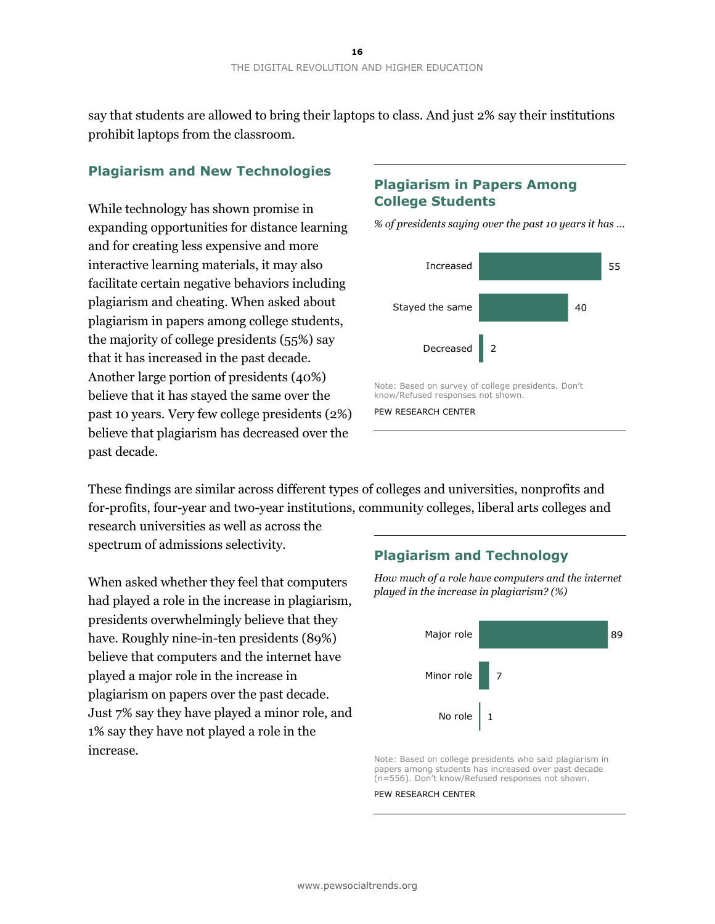say that students are allowed to bring their laptops to class. And just 2% say their institutions prohibit laptops from the classroom.

### **Plagiarism and New Technologies**

While technology has shown promise in expanding opportunities for distance learning and for creating less expensive and more interactive learning materials, it may also facilitate certain negative behaviors including plagiarism and cheating. When asked about plagiarism in papers among college students, the majority of college presidents (55%) say that it has increased in the past decade. Another large portion of presidents (40%) believe that it has stayed the same over the past 10 years. Very few college presidents (2%) believe that plagiarism has decreased over the past decade.

### **Plagiarism in Papers Among College Students**



*% of presidents saying over the past 10 years it has …* 

These findings are similar across different types of colleges and universities, nonprofits and for-profits, four-year and two-year institutions, community colleges, liberal arts colleges and

research universities as well as across the spectrum of admissions selectivity.

When asked whether they feel that computers had played a role in the increase in plagiarism, presidents overwhelmingly believe that they have. Roughly nine-in-ten presidents (89%) believe that computers and the internet have played a major role in the increase in plagiarism on papers over the past decade. Just 7% say they have played a minor role, and 1% say they have not played a role in the increase.

### **Plagiarism and Technology**

*How much of a role have computers and the internet played in the increase in plagiarism? (%)* 



Note: Based on college presidents who said plagiarism in papers among students has increased over past decade (n=556). Don't know/Refused responses not shown.

#### PEW RESEARCH CENTER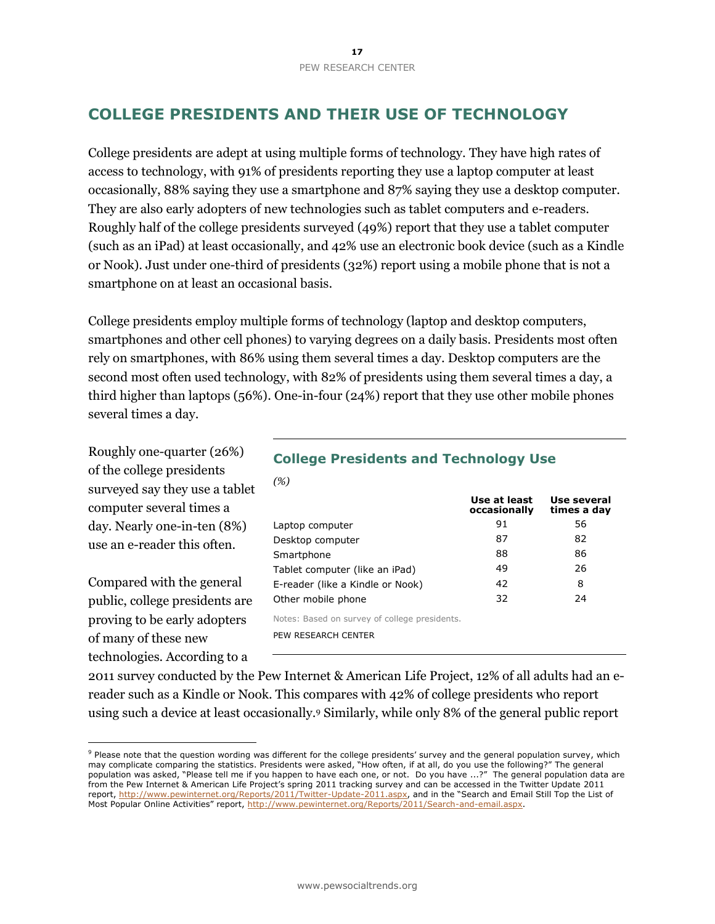# **COLLEGE PRESIDENTS AND THEIR USE OF TECHNOLOGY**

College presidents are adept at using multiple forms of technology. They have high rates of access to technology, with 91% of presidents reporting they use a laptop computer at least occasionally, 88% saying they use a smartphone and 87% saying they use a desktop computer. They are also early adopters of new technologies such as tablet computers and e-readers. Roughly half of the college presidents surveyed (49%) report that they use a tablet computer (such as an iPad) at least occasionally, and 42% use an electronic book device (such as a Kindle or Nook). Just under one-third of presidents (32%) report using a mobile phone that is not a smartphone on at least an occasional basis.

College presidents employ multiple forms of technology (laptop and desktop computers, smartphones and other cell phones) to varying degrees on a daily basis. Presidents most often rely on smartphones, with 86% using them several times a day. Desktop computers are the second most often used technology, with 82% of presidents using them several times a day, a third higher than laptops (56%). One-in-four (24%) report that they use other mobile phones several times a day.

Roughly one-quarter (26%) of the college presidents surveyed say they use a tablet computer several times a day. Nearly one-in-ten (8%) use an e-reader this often.

Compared with the general public, college presidents are proving to be early adopters of many of these new technologies. According to a

 $\overline{a}$ 

### **College Presidents and Technology Use**

| (%)                                           |                              |                            |
|-----------------------------------------------|------------------------------|----------------------------|
|                                               | Use at least<br>occasionally | Use several<br>times a day |
| Laptop computer                               | 91                           | 56                         |
| Desktop computer                              | 87                           | 82                         |
| Smartphone                                    | 88                           | 86                         |
| Tablet computer (like an iPad)                | 49                           | 26                         |
| E-reader (like a Kindle or Nook)              | 42                           | 8                          |
| Other mobile phone                            | 32                           | 24                         |
| Notes: Based on survey of college presidents. |                              |                            |
| PEW RESEARCH CENTER                           |                              |                            |

2011 survey conducted by the Pew Internet & American Life Project, 12% of all adults had an ereader such as a Kindle or Nook. This compares with 42% of college presidents who report using such a device at least occasionally.<sup>9</sup> Similarly, while only 8% of the general public report

<sup>&</sup>lt;sup>9</sup> Please note that the question wording was different for the college presidents' survey and the general population survey, which may complicate comparing the statistics. Presidents were asked, "How often, if at all, do you use the following?" The general population was asked, "Please tell me if you happen to have each one, or not. Do you have ...?" The general population data are from the Pew Internet & American Life Project's spring 2011 tracking survey and can be accessed in the Twitter Update 2011 report, [http://www.pewinternet.org/Reports/2011/Twitter-Update-2011.aspx,](http://www.pewinternet.org/Reports/2011/Twitter-Update-2011.aspx) and in the "Search and Email Still Top the List of Most Popular Online Activities" report, [http://www.pewinternet.org/Reports/2011/Search-and-email.aspx.](http://www.pewinternet.org/Reports/2011/Search-and-email.aspx)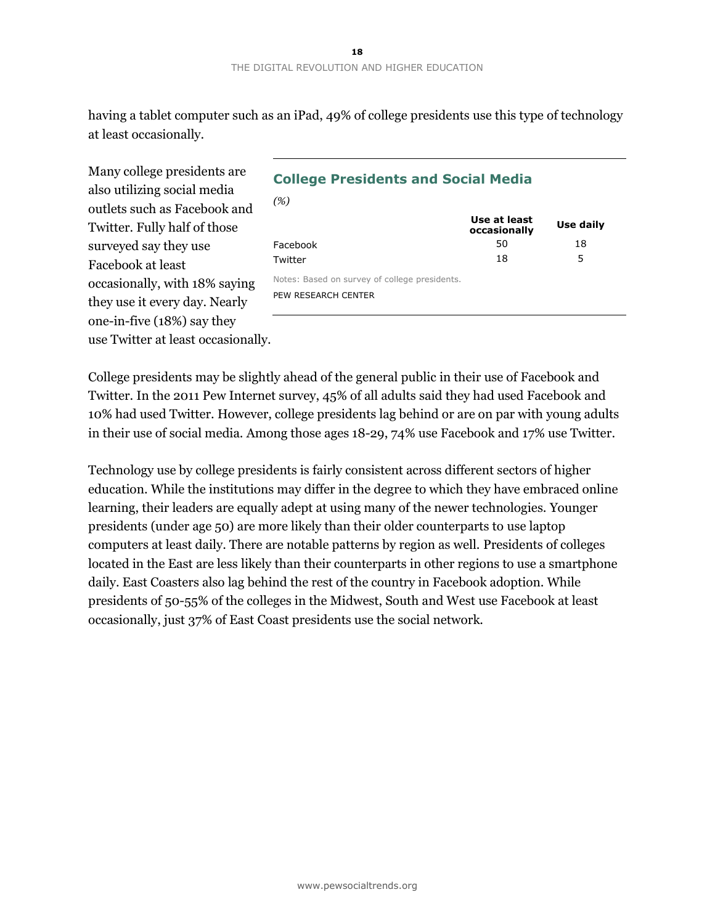having a tablet computer such as an iPad, 49% of college presidents use this type of technology at least occasionally.

*(%)*

Many college presidents are also utilizing social media outlets such as Facebook and Twitter. Fully half of those surveyed say they use Facebook at least occasionally, with 18% saying they use it every day. Nearly one-in-five (18%) say they use Twitter at least occasionally.

### **College Presidents and Social Media**

|                                               | Use at least<br>occasionally | Use daily |
|-----------------------------------------------|------------------------------|-----------|
| Facebook                                      | 50                           | 18        |
| Twitter                                       | 18                           | 5         |
| Notes: Based on survey of college presidents. |                              |           |
| PEW RESEARCH CENTER                           |                              |           |

College presidents may be slightly ahead of the general public in their use of Facebook and Twitter. In the 2011 Pew Internet survey, 45% of all adults said they had used Facebook and 10% had used Twitter. However, college presidents lag behind or are on par with young adults in their use of social media. Among those ages 18-29, 74% use Facebook and 17% use Twitter.

Technology use by college presidents is fairly consistent across different sectors of higher education. While the institutions may differ in the degree to which they have embraced online learning, their leaders are equally adept at using many of the newer technologies. Younger presidents (under age 50) are more likely than their older counterparts to use laptop computers at least daily. There are notable patterns by region as well. Presidents of colleges located in the East are less likely than their counterparts in other regions to use a smartphone daily. East Coasters also lag behind the rest of the country in Facebook adoption. While presidents of 50-55% of the colleges in the Midwest, South and West use Facebook at least occasionally, just 37% of East Coast presidents use the social network.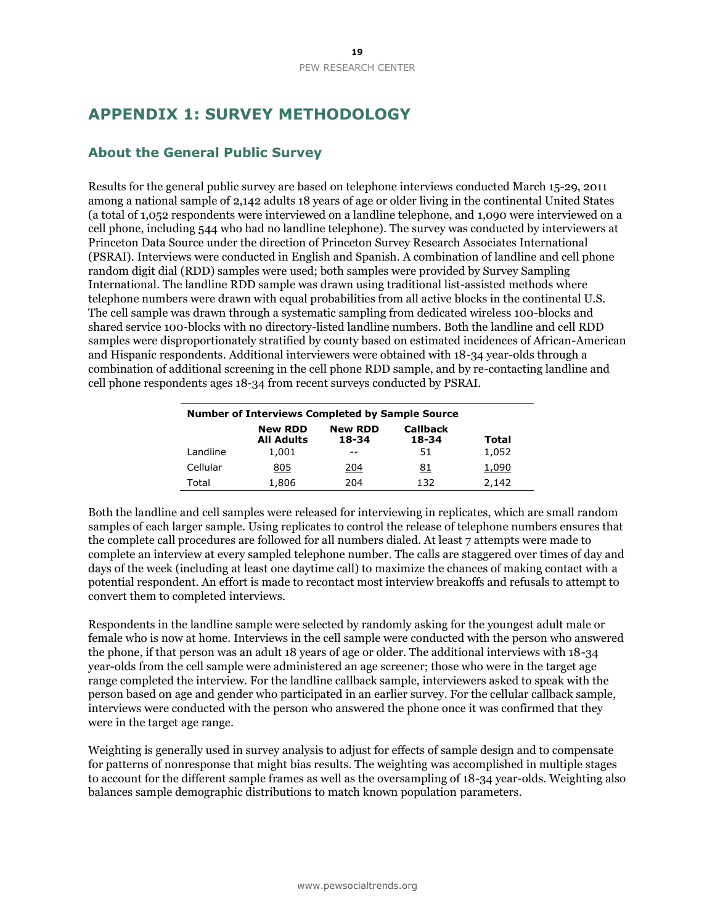# **APPENDIX 1: SURVEY METHODOLOGY**

### **About the General Public Survey**

Results for the general public survey are based on telephone interviews conducted March 15-29, 2011 among a national sample of 2,142 adults 18 years of age or older living in the continental United States (a total of 1,052 respondents were interviewed on a landline telephone, and 1,090 were interviewed on a cell phone, including 544 who had no landline telephone). The survey was conducted by interviewers at Princeton Data Source under the direction of Princeton Survey Research Associates International (PSRAI). Interviews were conducted in English and Spanish. A combination of landline and cell phone random digit dial (RDD) samples were used; both samples were provided by Survey Sampling International. The landline RDD sample was drawn using traditional list-assisted methods where telephone numbers were drawn with equal probabilities from all active blocks in the continental U.S. The cell sample was drawn through a systematic sampling from dedicated wireless 100-blocks and shared service 100-blocks with no directory-listed landline numbers. Both the landline and cell RDD samples were disproportionately stratified by county based on estimated incidences of African-American and Hispanic respondents. Additional interviewers were obtained with 18-34 year-olds through a combination of additional screening in the cell phone RDD sample, and by re-contacting landline and cell phone respondents ages 18-34 from recent surveys conducted by PSRAI.

| <b>Number of Interviews Completed by Sample Source</b> |                                     |                         |                          |       |  |
|--------------------------------------------------------|-------------------------------------|-------------------------|--------------------------|-------|--|
|                                                        | <b>New RDD</b><br><b>All Adults</b> | <b>New RDD</b><br>18-34 | <b>Callback</b><br>18-34 | Total |  |
| Landline                                               | 1,001                               |                         | 51                       | 1,052 |  |
| Cellular                                               | <u>805</u>                          | 204                     | 81                       | 1,090 |  |
| Total                                                  | 1,806                               | 204                     | 132                      | 2.142 |  |

Both the landline and cell samples were released for interviewing in replicates, which are small random samples of each larger sample. Using replicates to control the release of telephone numbers ensures that the complete call procedures are followed for all numbers dialed. At least 7 attempts were made to complete an interview at every sampled telephone number. The calls are staggered over times of day and days of the week (including at least one daytime call) to maximize the chances of making contact with a potential respondent. An effort is made to recontact most interview breakoffs and refusals to attempt to convert them to completed interviews.

Respondents in the landline sample were selected by randomly asking for the youngest adult male or female who is now at home. Interviews in the cell sample were conducted with the person who answered the phone, if that person was an adult 18 years of age or older. The additional interviews with 18-34 year-olds from the cell sample were administered an age screener; those who were in the target age range completed the interview. For the landline callback sample, interviewers asked to speak with the person based on age and gender who participated in an earlier survey. For the cellular callback sample, interviews were conducted with the person who answered the phone once it was confirmed that they were in the target age range.

Weighting is generally used in survey analysis to adjust for effects of sample design and to compensate for patterns of nonresponse that might bias results. The weighting was accomplished in multiple stages to account for the different sample frames as well as the oversampling of 18-34 year-olds. Weighting also balances sample demographic distributions to match known population parameters.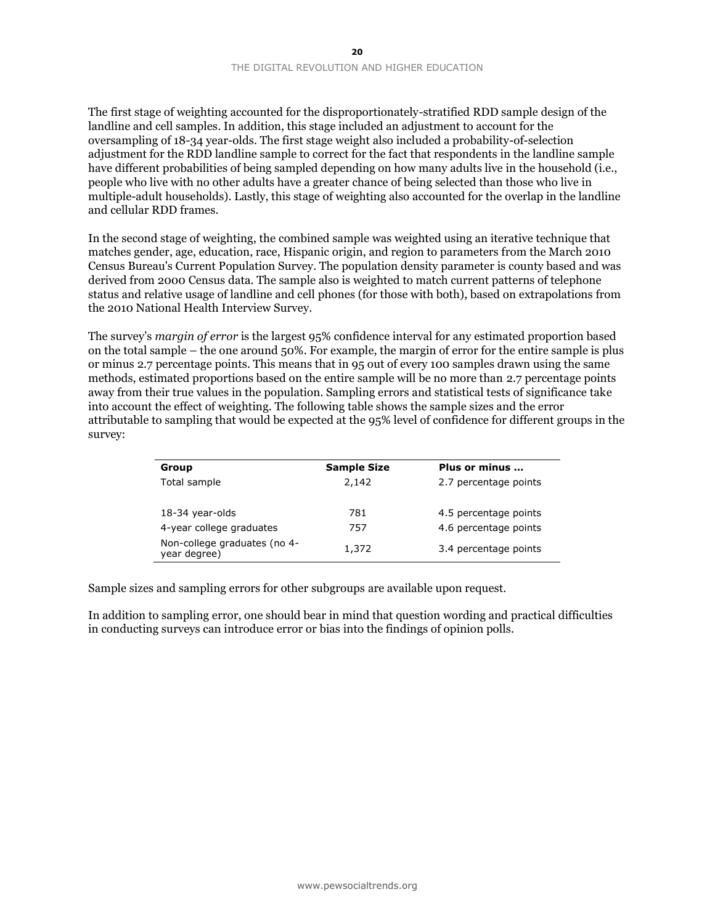The first stage of weighting accounted for the disproportionately-stratified RDD sample design of the landline and cell samples. In addition, this stage included an adjustment to account for the oversampling of 18-34 year-olds. The first stage weight also included a probability-of-selection adjustment for the RDD landline sample to correct for the fact that respondents in the landline sample have different probabilities of being sampled depending on how many adults live in the household (i.e., people who live with no other adults have a greater chance of being selected than those who live in multiple-adult households). Lastly, this stage of weighting also accounted for the overlap in the landline and cellular RDD frames.

In the second stage of weighting, the combined sample was weighted using an iterative technique that matches gender, age, education, race, Hispanic origin, and region to parameters from the March 2010 Census Bureau's Current Population Survey. The population density parameter is county based and was derived from 2000 Census data. The sample also is weighted to match current patterns of telephone status and relative usage of landline and cell phones (for those with both), based on extrapolations from the 2010 National Health Interview Survey.

The survey's *margin of error* is the largest 95% confidence interval for any estimated proportion based on the total sample – the one around 50%. For example, the margin of error for the entire sample is plus or minus 2.7 percentage points. This means that in 95 out of every 100 samples drawn using the same methods, estimated proportions based on the entire sample will be no more than 2.7 percentage points away from their true values in the population. Sampling errors and statistical tests of significance take into account the effect of weighting. The following table shows the sample sizes and the error attributable to sampling that would be expected at the 95% level of confidence for different groups in the survey:

| Group                                        | <b>Sample Size</b> | Plus or minus         |
|----------------------------------------------|--------------------|-----------------------|
| Total sample                                 | 2,142              | 2.7 percentage points |
|                                              |                    |                       |
| 18-34 year-olds                              | 781                | 4.5 percentage points |
| 4-year college graduates                     | 757                | 4.6 percentage points |
| Non-college graduates (no 4-<br>year degree) | 1,372              | 3.4 percentage points |
|                                              |                    |                       |

Sample sizes and sampling errors for other subgroups are available upon request.

In addition to sampling error, one should bear in mind that question wording and practical difficulties in conducting surveys can introduce error or bias into the findings of opinion polls.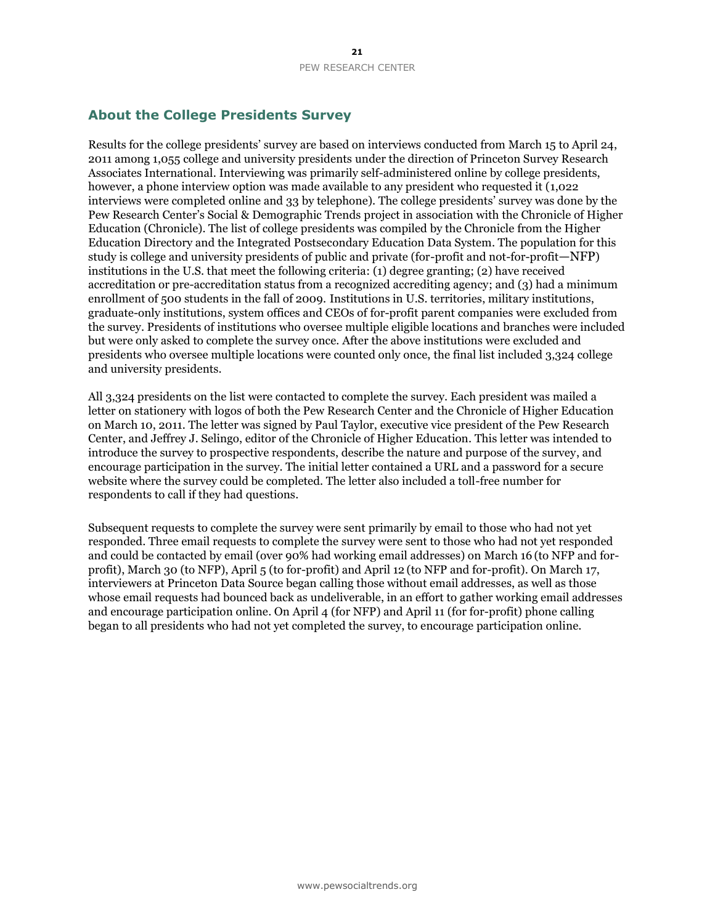### **About the College Presidents Survey**

Results for the college presidents' survey are based on interviews conducted from March 15 to April 24, 2011 among 1,055 college and university presidents under the direction of Princeton Survey Research Associates International. Interviewing was primarily self-administered online by college presidents, however, a phone interview option was made available to any president who requested it (1,022 interviews were completed online and 33 by telephone). The college presidents' survey was done by the Pew Research Center's Social & Demographic Trends project in association with the Chronicle of Higher Education (Chronicle). The list of college presidents was compiled by the Chronicle from the Higher Education Directory and the Integrated Postsecondary Education Data System. The population for this study is college and university presidents of public and private (for-profit and not-for-profit—NFP) institutions in the U.S. that meet the following criteria: (1) degree granting; (2) have received accreditation or pre-accreditation status from a recognized accrediting agency; and (3) had a minimum enrollment of 500 students in the fall of 2009. Institutions in U.S. territories, military institutions, graduate-only institutions, system offices and CEOs of for-profit parent companies were excluded from the survey. Presidents of institutions who oversee multiple eligible locations and branches were included but were only asked to complete the survey once. After the above institutions were excluded and presidents who oversee multiple locations were counted only once, the final list included 3,324 college and university presidents.

All 3,324 presidents on the list were contacted to complete the survey. Each president was mailed a letter on stationery with logos of both the Pew Research Center and the Chronicle of Higher Education on March 10, 2011. The letter was signed by Paul Taylor, executive vice president of the Pew Research Center, and Jeffrey J. Selingo, editor of the Chronicle of Higher Education. This letter was intended to introduce the survey to prospective respondents, describe the nature and purpose of the survey, and encourage participation in the survey. The initial letter contained a URL and a password for a secure website where the survey could be completed. The letter also included a toll-free number for respondents to call if they had questions.

Subsequent requests to complete the survey were sent primarily by email to those who had not yet responded. Three email requests to complete the survey were sent to those who had not yet responded and could be contacted by email (over 90% had working email addresses) on March 16 (to NFP and forprofit), March 30 (to NFP), April 5 (to for-profit) and April 12 (to NFP and for-profit). On March 17, interviewers at Princeton Data Source began calling those without email addresses, as well as those whose email requests had bounced back as undeliverable, in an effort to gather working email addresses and encourage participation online. On April 4 (for NFP) and April 11 (for for-profit) phone calling began to all presidents who had not yet completed the survey, to encourage participation online.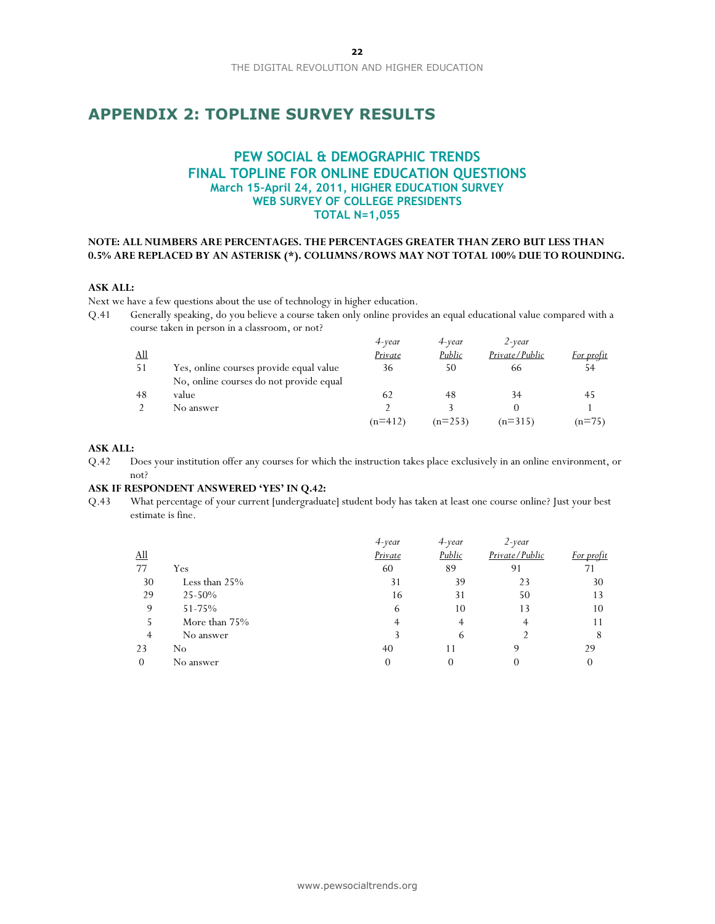### **APPENDIX 2: TOPLINE SURVEY RESULTS**

### **PEW SOCIAL & DEMOGRAPHIC TRENDS FINAL TOPLINE FOR ONLINE EDUCATION QUESTIONS March 15–April 24, 2011, HIGHER EDUCATION SURVEY WEB SURVEY OF COLLEGE PRESIDENTS TOTAL N=1,055**

#### **NOTE: ALL NUMBERS ARE PERCENTAGES. THE PERCENTAGES GREATER THAN ZERO BUT LESS THAN 0.5% ARE REPLACED BY AN ASTERISK (\*). COLUMNS/ROWS MAY NOT TOTAL 100% DUE TO ROUNDING.**

#### **ASK ALL:**

Next we have a few questions about the use of technology in higher education.

Q.41 Generally speaking, do you believe a course taken only online provides an equal educational value compared with a course taken in person in a classroom, or not?

|            |                                         | 4-year         | 4-year    | $2$ -year      |            |
|------------|-----------------------------------------|----------------|-----------|----------------|------------|
| <u>All</u> |                                         | <i>Private</i> | Public    | Private/Public | For profit |
| 51         | Yes, online courses provide equal value | 36             | 50        | 66             | 54         |
|            | No, online courses do not provide equal |                |           |                |            |
| 48         | value                                   | 62             | 48        | 34             | 45         |
|            | No answer                               |                |           |                |            |
|            |                                         | $(n=412)$      | $(n=253)$ | $(n=315)$      | $(n=75)$   |

#### **ASK ALL:**

Q.42 Does your institution offer any courses for which the instruction takes place exclusively in an online environment, or not?

#### **ASK IF RESPONDENT ANSWERED "YES" IN Q.42:**

Q.43 What percentage of your current [undergraduate] student body has taken at least one course online? Just your best estimate is fine.

|               | $4$ -year | 4-year | $2$ -year      |            |
|---------------|-----------|--------|----------------|------------|
|               | Private   | Public | Private/Public | For profit |
| Yes           | 60        | 89     | 91             |            |
| Less than 25% | 31        | 39     | 23             | 30         |
| 25-50%        | 16        | 31     | 50             | 13         |
| 51-75%        | 6         | 10     | 13             | 10         |
| More than 75% |           |        |                |            |
| No answer     |           | b      |                | 8          |
| No            | 40        |        |                | 29         |
| No answer     | 0         | 0      |                |            |
|               |           |        |                |            |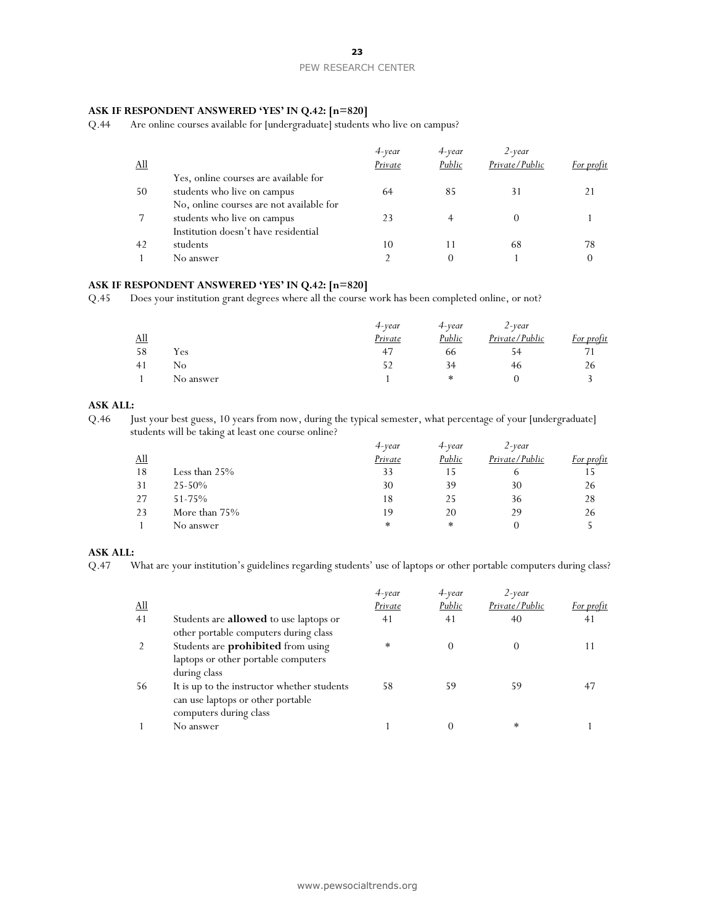### PEW RESEARCH CENTER

#### **ASK IF RESPONDENT ANSWERED "YES" IN Q.42: [n=820]**

Q.44 Are online courses available for [undergraduate] students who live on campus?

|            |                                          | 4-year  | 4-year | $2$ -year      |            |
|------------|------------------------------------------|---------|--------|----------------|------------|
| <u>All</u> |                                          | Private | Public | Private/Public | For profit |
|            | Yes, online courses are available for    |         |        |                |            |
| 50         | students who live on campus              | 64      | 85     | 31             |            |
|            | No, online courses are not available for |         |        |                |            |
|            | students who live on campus              | 23      |        |                |            |
|            | Institution doesn't have residential     |         |        |                |            |
| 42         | students                                 | 10      |        | 68             | 78         |
|            | No answer                                |         |        |                |            |

### **ASK IF RESPONDENT ANSWERED "YES" IN Q.42: [n=820]**

Q.45 Does your institution grant degrees where all the course work has been completed online, or not?

|             |           | 4-year  | 4-year | $2$ -year      |            |
|-------------|-----------|---------|--------|----------------|------------|
| $\Delta$ ll |           | Private | Public | Private/Public | For profit |
| 58          | Yes       | 47      | 66     | 54             |            |
| 41          | No        |         | 34     | 46             | 26         |
|             | No answer |         | ∗      |                |            |

### **ASK ALL:**

Q.46 Just your best guess, 10 years from now, during the typical semester, what percentage of your [undergraduate] students will be taking at least one course online?

|            |                 | 4-year  | $4$ -year | $2$ -year      |            |
|------------|-----------------|---------|-----------|----------------|------------|
| <u>All</u> |                 | Private | Public    | Private/Public | For profit |
| 18         | Less than $25%$ | 33      |           | O              |            |
| 31         | $25 - 50%$      | 30      | 39        | 30             | 26         |
| 27         | $51 - 75%$      | 18      | 25        | 36             | 28         |
| 23         | More than 75%   | 19      | 20        | 29             | 26         |
|            | No answer       | $\ast$  | $\ast$    |                |            |

#### **ASK ALL:**

Q.47 What are your institution's guidelines regarding students' use of laptops or other portable computers during class?

|            |                                               | 4-year  | 4-year | $2$ -year      |            |
|------------|-----------------------------------------------|---------|--------|----------------|------------|
| <u>All</u> |                                               | Private | Public | Private/Public | For profit |
| 41         | Students are <b>allowed</b> to use laptops or | 41      | 41     | 40             | 41         |
|            | other portable computers during class         |         |        |                |            |
|            | Students are <b>prohibited</b> from using     | $\ast$  |        |                |            |
|            | laptops or other portable computers           |         |        |                |            |
|            | during class                                  |         |        |                |            |
| 56         | It is up to the instructor whether students   | 58      | 59     | 59             |            |
|            | can use laptops or other portable             |         |        |                |            |
|            | computers during class                        |         |        |                |            |
|            | No answer                                     |         |        | $\ast$         |            |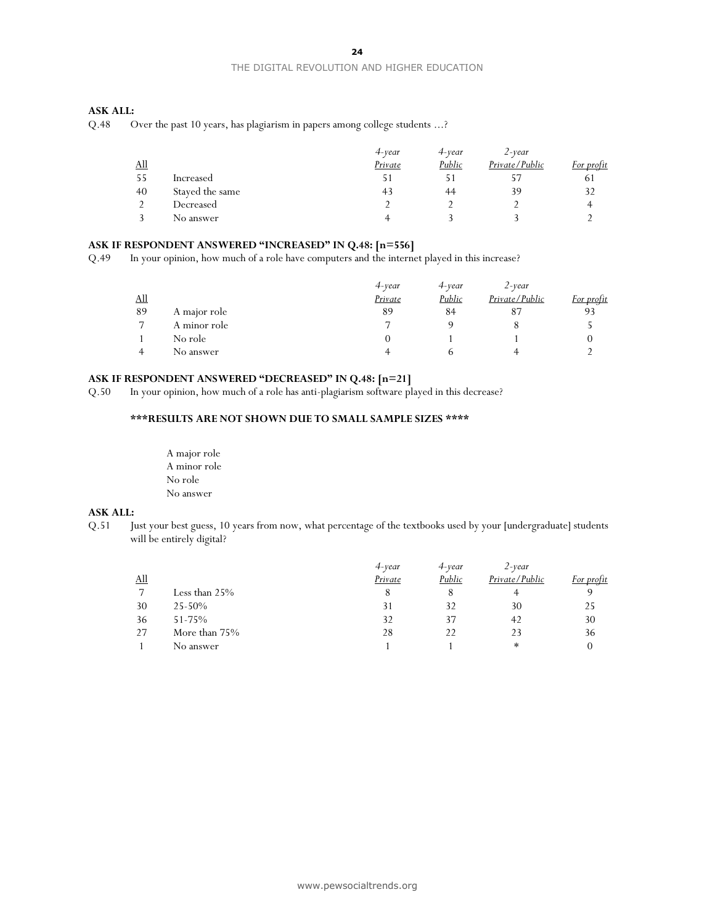#### THE DIGITAL REVOLUTION AND HIGHER EDUCATION

#### **ASK ALL:**

Q.48 Over the past 10 years, has plagiarism in papers among college students ...?

|             |                 | 4-year  | 4-year | $2$ -vear      |            |
|-------------|-----------------|---------|--------|----------------|------------|
| $\Delta$ ll |                 | Private | Public | Private/Public | For profit |
| -55         | Increased       |         |        | ל כ            | 61         |
| 40          | Stayed the same | 43      | 44     | 39             | 32         |
|             | Decreased       |         |        |                |            |
|             | No answer       |         |        |                |            |

#### **ASK IF RESPONDENT ANSWERED "INCREASED" IN Q.48: [n=556]**

Q.49 In your opinion, how much of a role have computers and the internet played in this increase?

|                            |              | $4$ -vear | 4-vear | $2$ -year      |            |
|----------------------------|--------------|-----------|--------|----------------|------------|
| $\underline{\mathrm{All}}$ |              | Private   | Public | Private/Public | For profit |
| 89                         | A major role | 89        | 84     |                | 93         |
|                            | A minor role |           |        |                |            |
|                            | No role      |           |        |                |            |
|                            | No answer    |           |        |                |            |

#### **ASK IF RESPONDENT ANSWERED "DECREASED" IN Q.48: [n=21]**

Q.50 In your opinion, how much of a role has anti-plagiarism software played in this decrease?

#### **\*\*\*RESULTS ARE NOT SHOWN DUE TO SMALL SAMPLE SIZES \*\*\*\***

A major role A minor role No role No answer

#### **ASK ALL:**

Q.51 Just your best guess, 10 years from now, what percentage of the textbooks used by your [undergraduate] students will be entirely digital?

|            |               | $4$ -vear | 4-year | $2$ -vear      |            |
|------------|---------------|-----------|--------|----------------|------------|
| <u>All</u> |               | Private   | Public | Private/Public | For profit |
|            | Less than 25% | 8         |        |                |            |
| 30         | $25 - 50%$    | 31        | 32     | 30             | 25         |
| 36         | $51 - 75%$    | 32        | 37     | 42             | 30         |
| 27         | More than 75% | 28        | 22     | 23             | 36         |
|            | No answer     |           |        | $\ast$         |            |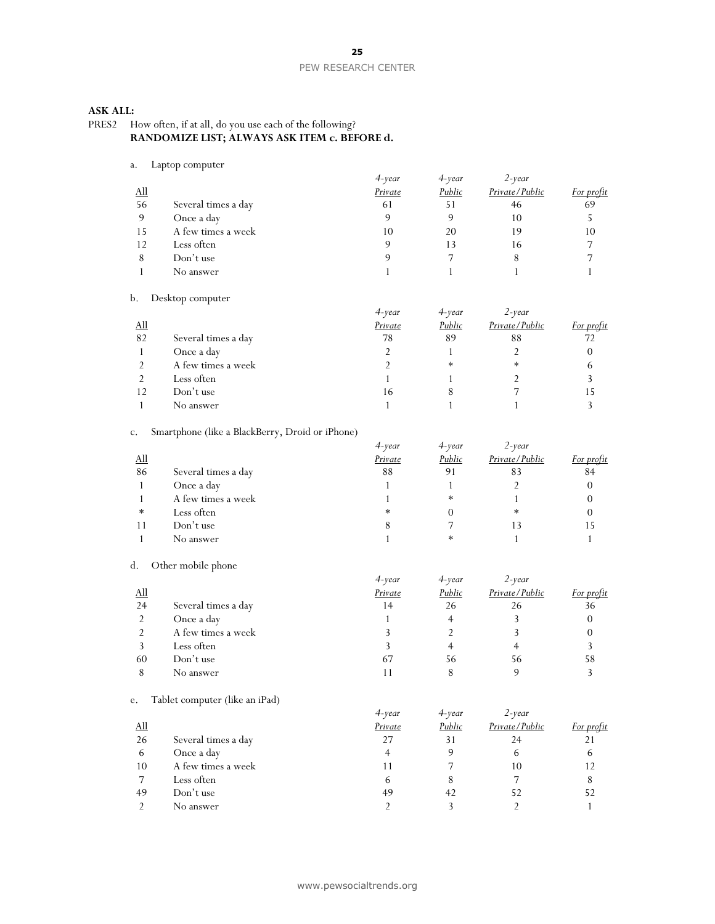#### **ASK ALL:**

PRES2 How often, if at all, do you use each of the following? **RANDOMIZE LIST; ALWAYS ASK ITEM c. BEFORE d.**

#### a. Laptop computer

| . .                        | $-$ <i>aprop</i> compare |           |           |                |            |
|----------------------------|--------------------------|-----------|-----------|----------------|------------|
|                            |                          | $4$ -year | $4$ -year | $2$ -year      |            |
| $\underline{\mathrm{All}}$ |                          | Private   | Public    | Private/Public | For profit |
| 56                         | Several times a day      | 61        | 51        | 46             | 69         |
| 9                          | Once a day               |           |           | 10             |            |
| 15                         | A few times a week       | 10        | 20        | 19             | 10         |
| 12                         | Less often               |           |           | 16             |            |
| 8                          | Don't use                |           |           | 8              |            |
|                            | No answer                |           |           |                |            |
|                            |                          |           |           |                |            |

#### b. Desktop computer

|            |                     | 4-year  | $4$ -vear | $2$ -year      |            |
|------------|---------------------|---------|-----------|----------------|------------|
| <u>All</u> |                     | Private | Public    | Private/Public | For profit |
| 82         | Several times a day | 78      | 89        | 88             |            |
|            | Once a day          |         |           |                | 0          |
|            | A few times a week  |         | $\ast$    | ∗              | $\sigma$   |
|            | Less often          |         |           |                |            |
| 12         | Don't use           | 16      |           |                |            |
|            | No answer           |         |           |                |            |

#### c. Smartphone (like a BlackBerry, Droid or iPhone)

|            |                     | $4$ -year | $4$ -vear | $2$ -year      |            |
|------------|---------------------|-----------|-----------|----------------|------------|
| <u>All</u> |                     | Private   | Public    | Private/Public | For profit |
| 86         | Several times a day | 88        | 91        | 83             | 84         |
|            | Once a day          |           |           |                |            |
|            | A few times a week  |           | $\ast$    |                |            |
| $\ast$     | Less often          | *         |           | ∗              |            |
|            | Don't use           |           |           | 13             |            |
|            | No answer           |           | ∗         |                |            |

#### d. Other mobile phone

|            |                     | $4$ -year | $4$ -year | $2$ -year      |            |
|------------|---------------------|-----------|-----------|----------------|------------|
| <u>All</u> |                     | Private   | Public    | Private/Public | For profit |
| 24         | Several times a day | 14        | 26        | 26             | 36         |
|            | Once a day          |           |           |                |            |
|            | A few times a week  |           |           |                |            |
|            | Less often          |           |           |                |            |
| 60         | Don't use           | 67        | 56        | 56             | 58         |
|            | No answer           |           |           |                |            |

#### e. Tablet computer (like an iPad)

|            |                     | $4$ -year | $4$ -year | $2$ -year      |            |
|------------|---------------------|-----------|-----------|----------------|------------|
| <u>All</u> |                     | Private   | Public    | Private/Public | For profit |
| 26         | Several times a day | 27        | 31        | 24             |            |
| 6          | Once a day          |           |           | b              | 6          |
| 10         | A few times a week  | l 1       |           | 10             | 12         |
|            | Less often          | 6         |           |                |            |
| 49         | Don't use           | 49        | 42        | 52             | 52         |
|            | No answer           |           |           |                |            |
|            |                     |           |           |                |            |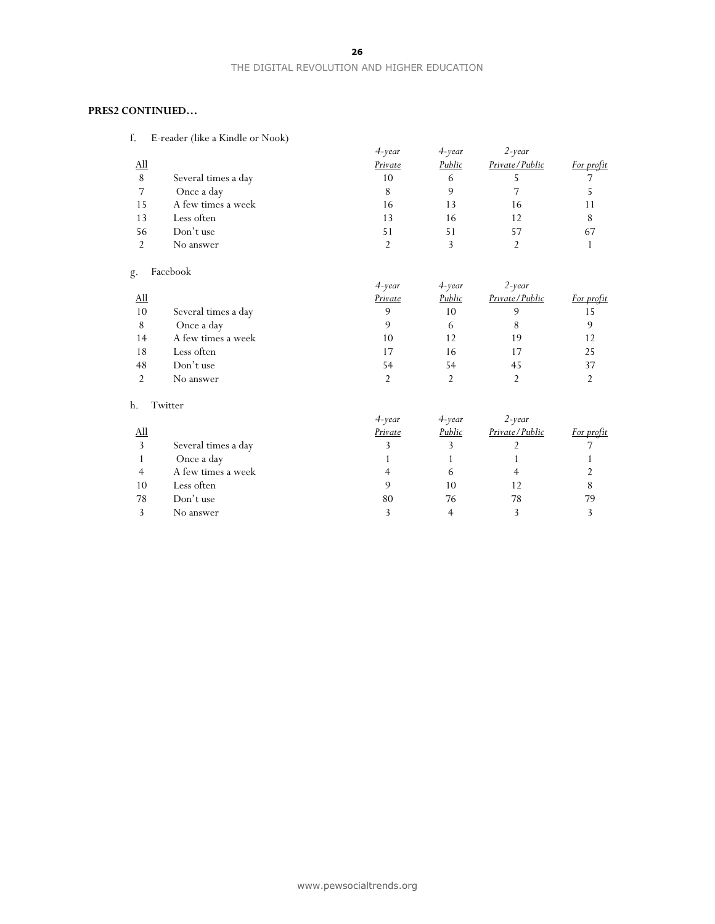#### THE DIGITAL REVOLUTION AND HIGHER EDUCATION

#### **PRES2 CONTINUED…**

f. E-reader (like a Kindle or Nook)

|     |                     | $4$ -year | $4$ -year | $2$ -year      |            |
|-----|---------------------|-----------|-----------|----------------|------------|
| All |                     | Private   | Public    | Private/Public | For profit |
| 8   | Several times a day | 10        | 6         |                |            |
|     | Once a day          | 8         |           |                |            |
| 15  | A few times a week  | 16        | 13        | 16             |            |
| 13  | Less often          | 13        | 16        |                |            |
| 56  | Don't use           | 51        | 51        | 57             | 67         |
|     | No answer           |           |           |                |            |
|     |                     |           |           |                |            |

### g. Facebook

|            |                     | $4$ -year | 4-year | $2$ -year      |            |
|------------|---------------------|-----------|--------|----------------|------------|
| <u>All</u> |                     | Private   | Public | Private/Public | For profit |
| 10         | Several times a day | 9         | 10     |                | 15         |
| 8          | Once a day          | q         | h      | 8              |            |
| 14         | A few times a week  | 10        | 12     | 19             | 12         |
| 18         | Less often          | 17        | 16     | 17             | 25         |
| 48         | Don't use           | 54        | 54     | 45             | 37         |
|            | No answer           |           |        |                |            |

#### h. Twitter

|             |                     | 4-year  | 4-year | $2$ -year      |            |
|-------------|---------------------|---------|--------|----------------|------------|
| $\Delta$ ll |                     | Private | Public | Private/Public | For profit |
|             | Several times a day |         |        |                |            |
|             | Once a day          |         |        |                |            |
|             | A few times a week  |         | n      |                |            |
| 10          | Less often          |         | 10     | 12             | 8          |
| 78          | Don't use           | 80      | 76     | 78             | 79         |
|             | No answer           |         |        |                |            |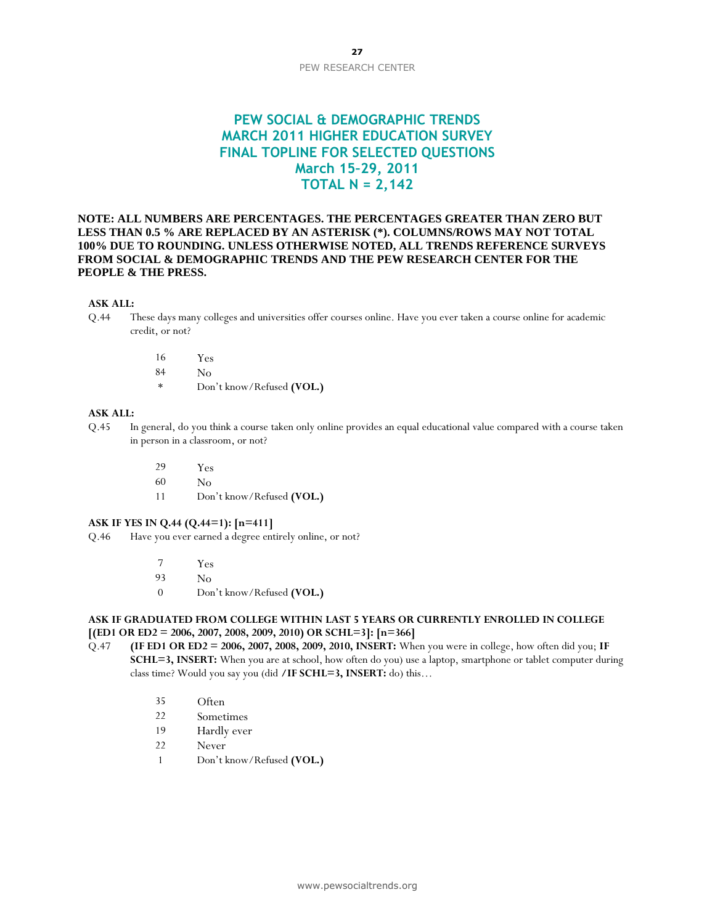### **PEW SOCIAL & DEMOGRAPHIC TRENDS MARCH 2011 HIGHER EDUCATION SURVEY FINAL TOPLINE FOR SELECTED QUESTIONS March 15–29, 2011 TOTAL N = 2,142**

**NOTE: ALL NUMBERS ARE PERCENTAGES. THE PERCENTAGES GREATER THAN ZERO BUT LESS THAN 0.5 % ARE REPLACED BY AN ASTERISK (\*). COLUMNS/ROWS MAY NOT TOTAL 100% DUE TO ROUNDING. UNLESS OTHERWISE NOTED, ALL TRENDS REFERENCE SURVEYS FROM SOCIAL & DEMOGRAPHIC TRENDS AND THE PEW RESEARCH CENTER FOR THE PEOPLE & THE PRESS.**

#### **ASK ALL:**

- Q.44 These days many colleges and universities offer courses online. Have you ever taken a course online for academic credit, or not?
	- 16 Yes
	- 84 No
	- \* Don't know/Refused **(VOL.)**

#### **ASK ALL:**

- Q.45 In general, do you think a course taken only online provides an equal educational value compared with a course taken in person in a classroom, or not?
	- 29 Yes
	- 60 No
	- 11 Don't know/Refused **(VOL.)**

#### **ASK IF YES IN Q.44 (Q.44=1): [n=411]**

Q.46 Have you ever earned a degree entirely online, or not?

- 7 Yes
- 93 No
- 0 Don't know/Refused **(VOL.)**

#### **ASK IF GRADUATED FROM COLLEGE WITHIN LAST 5 YEARS OR CURRENTLY ENROLLED IN COLLEGE [(ED1 OR ED2 = 2006, 2007, 2008, 2009, 2010) OR SCHL=3]: [n=366]**

- Q.47 **(IF ED1 OR ED2 = 2006, 2007, 2008, 2009, 2010, INSERT:** When you were in college, how often did you; **IF SCHL=3, INSERT:** When you are at school, how often do you) use a laptop, smartphone or tablet computer during class time? Would you say you (did **/IF SCHL=3, INSERT:** do) this…
	- 35 Often
	- 22 Sometimes
	- 19 Hardly ever
	- 22 Never
	- 1 Don't know/Refused **(VOL.)**